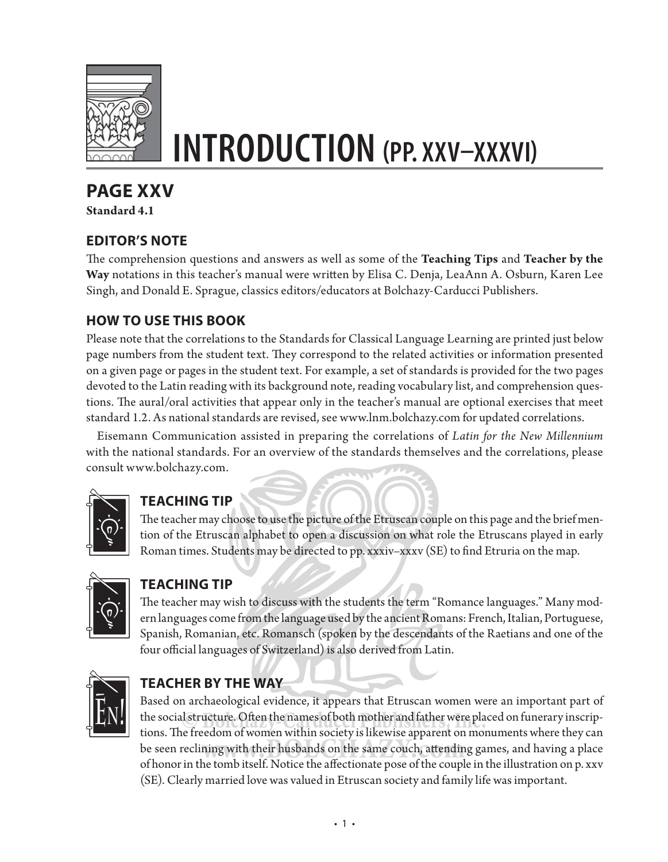

# **INTRODUCTION (PP. XXV–XXXVI)**

# **PAGE XXV**

**Standard 4.1**

### **EDITOR'S NOTE**

The comprehension questions and answers as well as some of the **Teaching Tips** and **Teacher by the Way** notations in this teacher's manual were written by Elisa C. Denja, LeaAnn A. Osburn, Karen Lee Singh, and Donald E. Sprague, classics editors/educators at Bolchazy-Carducci Publishers.

### **HOW TO USE THIS BOOK**

Please note that the correlations to the Standards for Classical Language Learning are printed just below page numbers from the student text. They correspond to the related activities or information presented on a given page or pages in the student text. For example, a set of standards is provided for the two pages devoted to the Latin reading with its background note, reading vocabulary list, and comprehension questions. The aural/oral activities that appear only in the teacher's manual are optional exercises that meet standard 1.2. As national standards are revised, see www.lnm.bolchazy.com for updated correlations.

Eisemann Communication assisted in preparing the correlations of *Latin for the New Millennium* with the national standards. For an overview of the standards themselves and the correlations, please consult www.bolchazy.com.



### **TEACHING TIP**

The teacher may choose to use the picture of the Etruscan couple on this page and the brief mention of the Etruscan alphabet to open a discussion on what role the Etruscans played in early Roman times. Students may be directed to pp. xxxiv–xxxv (SE) to find Etruria on the map.



### **TEACHING TIP**

The teacher may wish to discuss with the students the term "Romance languages." Many modern languages come from the language used by the ancient Romans: French, Italian, Portuguese, Spanish, Romanian, etc. Romansch (spoken by the descendants of the Raetians and one of the four official languages of Switzerland) is also derived from Latin.



### **TEACHER BY THE WAY**

Based on archaeological evidence, it appears that Etruscan women were an important part of David on dietailed plates in appears that Education women were an important part of<br>the social structure. Often the names of both mother and father were placed on funerary inscrip-<br>tions. The freedom of women within societ tions. The freedom of women within society is likewise apparent on monuments where they can tions. The freedom of women within society is likewise apparent on monuments where they can<br>be seen reclining with their husbands on the same couch, attending games, and having a place of honor in the tomb itself. Notice the affectionate pose of the couple in the illustration on p. xxv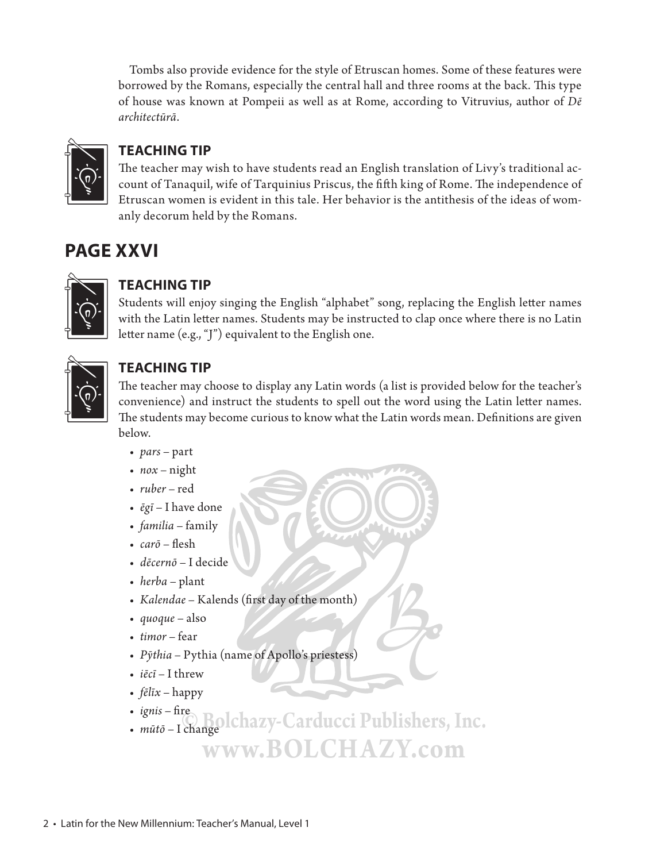Tombs also provide evidence for the style of Etruscan homes. Some of these features were borrowed by the Romans, especially the central hall and three rooms at the back. This type of house was known at Pompeii as well as at Rome, according to Vitruvius, author of *Dē architectūrā*.



### **TEACHING TIP**

The teacher may wish to have students read an English translation of Livy's traditional account of Tanaquil, wife of Tarquinius Priscus, the fifth king of Rome. The independence of Etruscan women is evident in this tale. Her behavior is the antithesis of the ideas of womanly decorum held by the Romans.

# **PAGE XXVI**



### **TEACHING TIP**

Students will enjoy singing the English "alphabet" song, replacing the English letter names with the Latin letter names. Students may be instructed to clap once where there is no Latin letter name  $(e.g., "J")$  equivalent to the English one.



### **TEACHING TIP**

The teacher may choose to display any Latin words (a list is provided below for the teacher's convenience) and instruct the students to spell out the word using the Latin letter names. The students may become curious to know what the Latin words mean. Definitions are given below.

- *pars* part
- *nox* night
- *ruber* red
- *ēgī* I have done
- *familia* family
- $c$ *ar* $\bar{o}$  flesh
- *dēcernō* I decide
- *herba* plant
- *Kalendae* Kalends (first day of the month)
- *quoque* also
- *timor* fear
- *Pȳthia* Pythia (name of Apollo's priestess)
- *iēcī* I threw
- *fēlīx* happy
- $\cdot$  *ignis* fire • *mūtō* – I change **© Bolchazy-Carducci Publishers, Inc.**

```
www.BOLCHAZY.com
```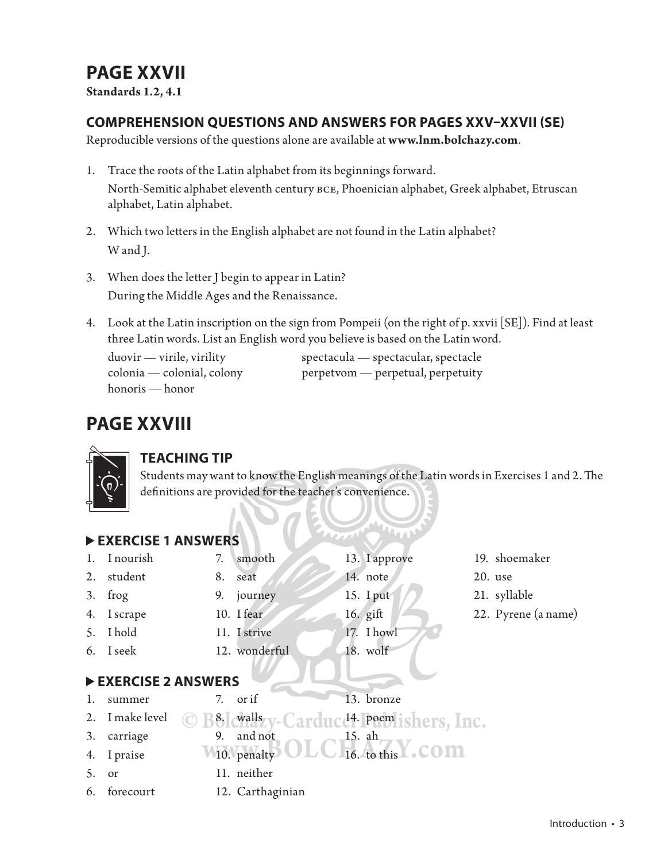# **PAGE XXVII**

**Standards 1.2, 4.1**

### **COMPREHENSION QUESTIONS AND ANSWERS FOR PAGES XXV–XXVII (SE)**

Reproducible versions of the questions alone are available at **www.lnm.bolchazy.com**.

- 1. Trace the roots of the Latin alphabet from its beginnings forward. North-Semitic alphabet eleventh century bce, Phoenician alphabet, Greek alphabet, Etruscan alphabet, Latin alphabet.
- 2. Which two letters in the English alphabet are not found in the Latin alphabet? W and J.

**ADARU** 

- 3. When does the letter J begin to appear in Latin? During the Middle Ages and the Renaissance.
- 4. Look at the Latin inscription on the sign from Pompeii (on the right of p. xxvii [SE]). Find at least three Latin words. List an English word you believe is based on the Latin word.

honoris — honor

duovir — virile, virility spectacula — spectacular, spectacle colonia — colonial, colony perpetvom — perpetual, perpetuity

# **PAGE XXVIII**



### **TEACHING TIP**

Students may want to know the English meanings of the Latin words in Exercises 1 and 2. The definitions are provided for the teacher's convenience.

| work<br>EXERCISE 1 ANSWERS |                    |    |                                                    |        |                    |  |                     |
|----------------------------|--------------------|----|----------------------------------------------------|--------|--------------------|--|---------------------|
| 1.                         | I nourish          | 7. | smooth                                             |        | 13. I approve      |  | 19. shoemaker       |
| 2.                         | student            | 8. | seat                                               |        | 14. note           |  | $20.$ use           |
| 3.                         | frog               | 9. | journey                                            |        | 15. I put          |  | 21. syllable        |
| 4.                         | I scrape           |    | 10. I fear                                         |        | 16. $g$ ift        |  | 22. Pyrene (a name) |
| 5.                         | <b>I</b> hold      |    | 11. I strive                                       |        | 17. I howl         |  |                     |
|                            | 6. I seek          |    | 12. wonderful                                      |        | 18. wolf           |  |                     |
|                            |                    |    |                                                    |        |                    |  |                     |
|                            | EXERCISE 2 ANSWERS |    |                                                    |        |                    |  |                     |
| 1.                         | summer             |    | 7. or if                                           |        | 13. bronze         |  |                     |
|                            | 2. I make level    |    | 8. walls v-Carducd <sup>4.</sup> poem ishers, Inc. |        |                    |  |                     |
| 3.                         | carriage           | 9. | and not                                            | 15. ah |                    |  |                     |
| 4.                         | I praise           |    | 10. penalty                                        |        | 16. to this Y. COM |  |                     |
| 5.                         | or                 |    | 11. neither                                        |        |                    |  |                     |
| 6.                         | forecourt          |    | 12. Carthaginian                                   |        |                    |  |                     |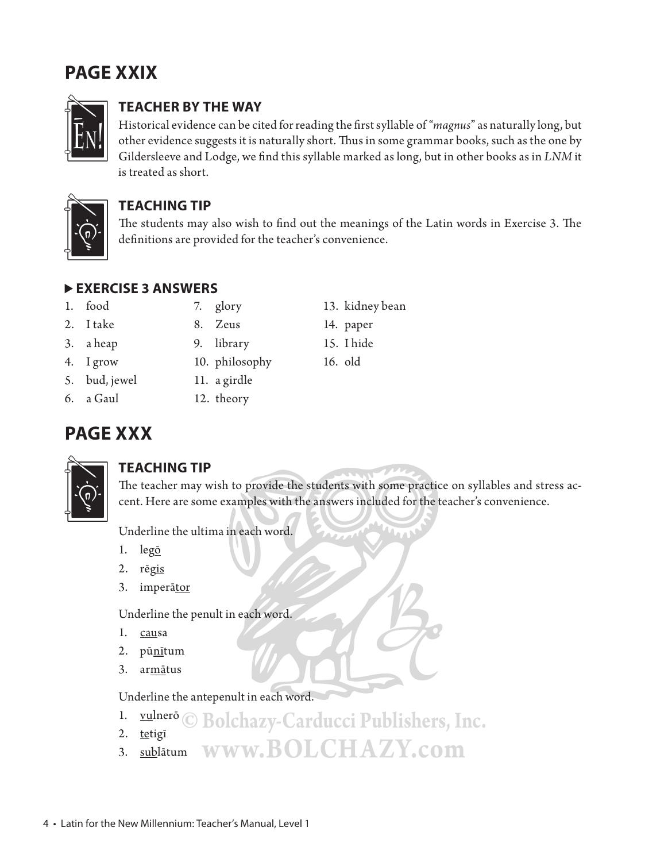# **PAGE XXIX**



### **TEACHER BY THE WAY**

Historical evidence can be cited for reading the first syllable of "*magnus*" as naturally long, but other evidence suggests it is naturally short. Thus in some grammar books, such as the one by Gildersleeve and Lodge, we find this syllable marked as long, but in other books as in LNM it is treated as short.



### **TEACHING TIP**

The students may also wish to find out the meanings of the Latin words in Exercise 3. The definitions are provided for the teacher's convenience.

### **EXERCISE 3 ANSWERS**

- 
- 
- 3. a heap 9. library 15. I hide
- 4. I grow 10. philosophy 16. old
- 5. bud, jewel 11. a girdle
- 6. a Gaul 12. theory

# **PAGE XXX**



### **TEACHING TIP**

The teacher may wish to provide the students with some practice on syllables and stress accent. Here are some examples with the answers included for the teacher's convenience.

Underline the ultima in each word.

- 1. legō
- 2. rēgis
- 3. imperātor

Underline the penult in each word.

- 1. causa
- 2. pūnītum
- 3. armātus

Underline the antepenult in each word.

- <sup>1.</sup> vulnerō © Bolchazy-Carducci Publishers, Inc.<br><sup>2.</sup> tetigī<br>3. sublātum WWW.BOLCHAZY.com
- 2. tetigī
- **www.BOLCHAZY.com**
- 4 Latin for the New Millennium: Teacher's Manual, Level 1
- 1. food 7. glory 13. kidney bean
- 2. I take 8. Zeus 14. paper
	-
	-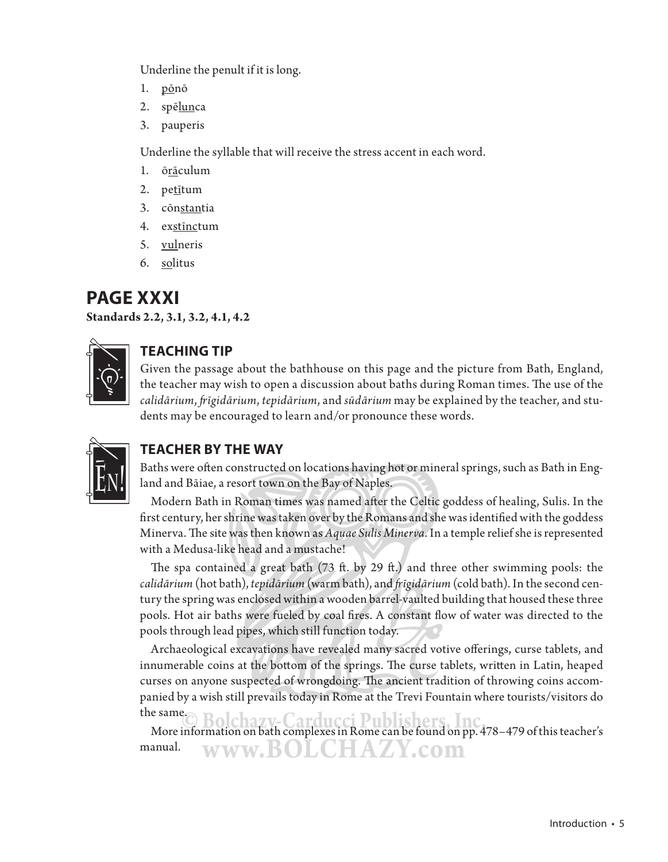Underline the penult if it is long.

- 1. pōnō
- 2. spēlunca
- 3. pauperis

Underline the syllable that will receive the stress accent in each word.

- 1. ōrāculum
- 2. petītum
- 3. cōnstantia
- 4. exstīnctum
- 5. vulneris
- 6. solitus

### **PAGE XXXI**

**Standards 2.2, 3.1, 3.2, 4.1, 4.2**



### **TEACHING TIP**

Given the passage about the bathhouse on this page and the picture from Bath, England, the teacher may wish to open a discussion about baths during Roman times. The use of the *calidārium*, *fr īgidārium*, *tepidārium*, and *sūdārium* may be explained by the teacher, and students may be encouraged to learn and/or pronounce these words.



### **TEACHER BY THE WAY**

Baths were often constructed on locations having hot or mineral springs, such as Bath in England and Bāiae, a resort town on the Bay of Naples.

Modern Bath in Roman times was named after the Celtic goddess of healing, Sulis. In the first century, her shrine was taken over by the Romans and she was identified with the goddess Minerva. The site was then known as *Aquae Sulis Minerva*. In a temple relief she is represented with a Medusa-like head and a mustache!

The spa contained a great bath  $(73 \text{ ft. by } 29 \text{ ft.})$  and three other swimming pools: the *calidārium* (hot bath), *tepidārium* (warm bath), and *fr īgidārium* (cold bath). In the second century the spring was enclosed within a wooden barrel-vaulted building that housed these three pools. Hot air baths were fueled by coal fires. A constant flow of water was directed to the pools through lead pipes, which still function today.

Archaeological excavations have revealed many sacred votive offerings, curse tablets, and innumerable coins at the bottom of the springs. The curse tablets, written in Latin, heaped curses on anyone suspected of wrongdoing. The ancient tradition of throwing coins accompanied by a wish still prevails today in Rome at the Trevi Fountain where tourists/visitors do the same.

More information on bath complexes in Rome can be found on pp. 478–479 of this teacher's the same.<br>More information on bath complexes in Rome can be found on pp. 4<br>manual. **www.BOLCHAZY.com**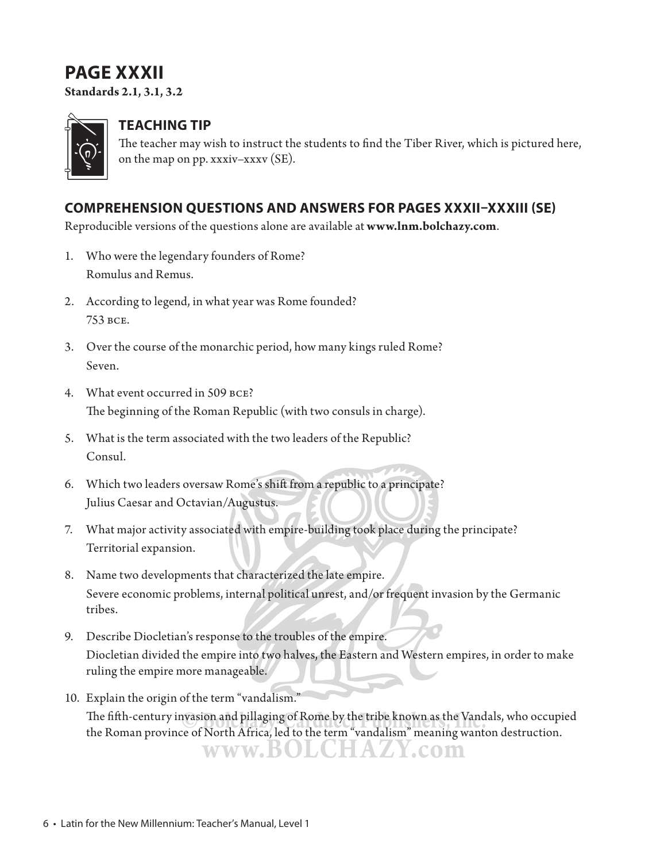# **PAGE XXXII**

**Standards 2.1, 3.1, 3.2**



### **TEACHING TIP**

The teacher may wish to instruct the students to find the Tiber River, which is pictured here, on the map on pp. xxxiv–xxxv (SE).

### **COMPREHENSION QUESTIONS AND ANSWERS FOR PAGES XXXII–XXXIII (SE)**

Reproducible versions of the questions alone are available at **www.lnm.bolchazy.com**.

- 1. Who were the legendary founders of Rome? Romulus and Remus.
- 2. According to legend, in what year was Rome founded? 753 bce.
- 3. Over the course of the monarchic period, how many kings ruled Rome? Seven.
- 4. What event occurred in 509 bce? The beginning of the Roman Republic (with two consuls in charge).
- 5. What is the term associated with the two leaders of the Republic? Consul.
- 6. Which two leaders oversaw Rome's shift from a republic to a principate? Julius Caesar and Octavian/Augustus.
- 7. What major activity associated with empire-building took place during the principate? Territorial expansion.
- 8. Name two developments that characterized the late empire. Severe economic problems, internal political unrest, and/or frequent invasion by the Germanic tribes.
- 9. Describe Diocletian's response to the troubles of the empire. Diocletian divided the empire into two halves, the Eastern and Western empires, in order to make ruling the empire more manageable.
- 10. Explain the origin of the term "vandalism." The fifth-century invasion and pillaging of Rome by the tribe known as the Vandals, who occupied the Roman province of North Africa, led to the term "vandalism" meaning wanton destruction. **www.BOLCHAZY.com**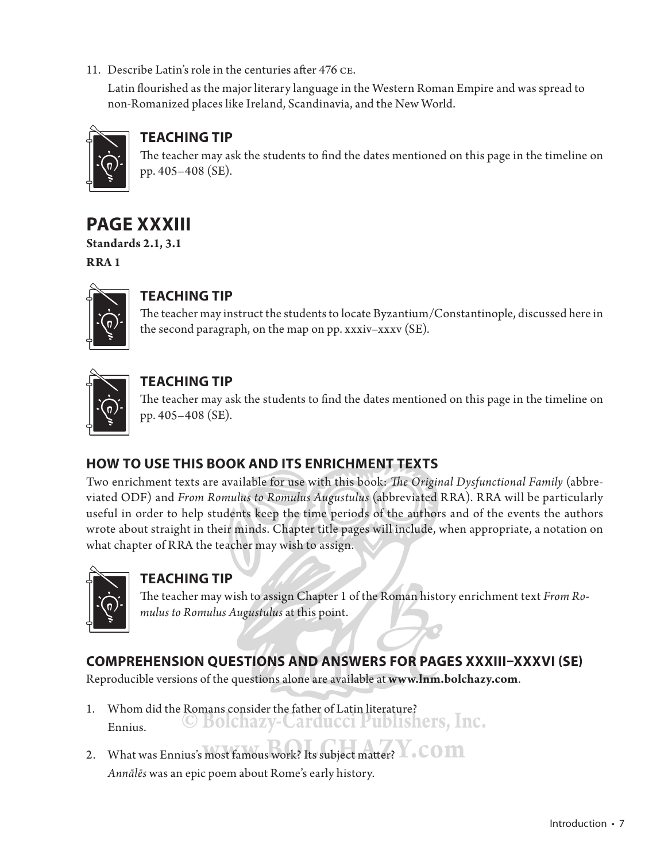11. Describe Latin's role in the centuries after 476 CE.

Latin flourished as the major literary language in the Western Roman Empire and was spread to non-Romanized places like Ireland, Scandinavia, and the New World.



### **TEACHING TIP**

The teacher may ask the students to find the dates mentioned on this page in the timeline on pp. 405–408 (SE).

# **PAGE XXXIII**

**Standards 2.1, 3.1 RRA 1**



### **TEACHING TIP**

The teacher may instruct the students to locate Byzantium/Constantinople, discussed here in the second paragraph, on the map on pp. xxxiv–xxxv (SE).

### **TEACHING TIP**

The teacher may ask the students to find the dates mentioned on this page in the timeline on pp. 405–408 (SE).

### **HOW TO USE THIS BOOK AND ITS ENRICHMENT TEXTS**

Two enrichment texts are available for use with this book: *The Original Dysfunctional Family* (abbreviated ODF) and *From Romulus to Romulus Augustulus* (abbreviated RRA ). RRA will be particularly useful in order to help students keep the time periods of the authors and of the events the authors wrote about straight in their minds. Chapter title pages will include, when appropriate, a notation on what chapter of RRA the teacher may wish to assign.



### **TEACHING TIP**

The teacher may wish to assign Chapter 1 of the Roman history enrichment text *From Romulus to Romulus Augustulus* at this point.

### **COMPREHENSION QUESTIONS AND ANSWERS FOR PAGES XXXIII–XXXVI (SE)**

Reproducible versions of the questions alone are available at **www.lnm.bolchazy.com**.

- 1. Whom did the Romans consider the father of Latin literature?<br>Ennius. C BOIChaZy-Carducci Publishers, Inc. Ennius. *Annālēs* was an epic poem about Rome's early history.<br> **Annālēs** was an epic poem about Rome's early history.
- 2. What was Ennius's most famous work? Its subject matter? work famous work? Its subject matter?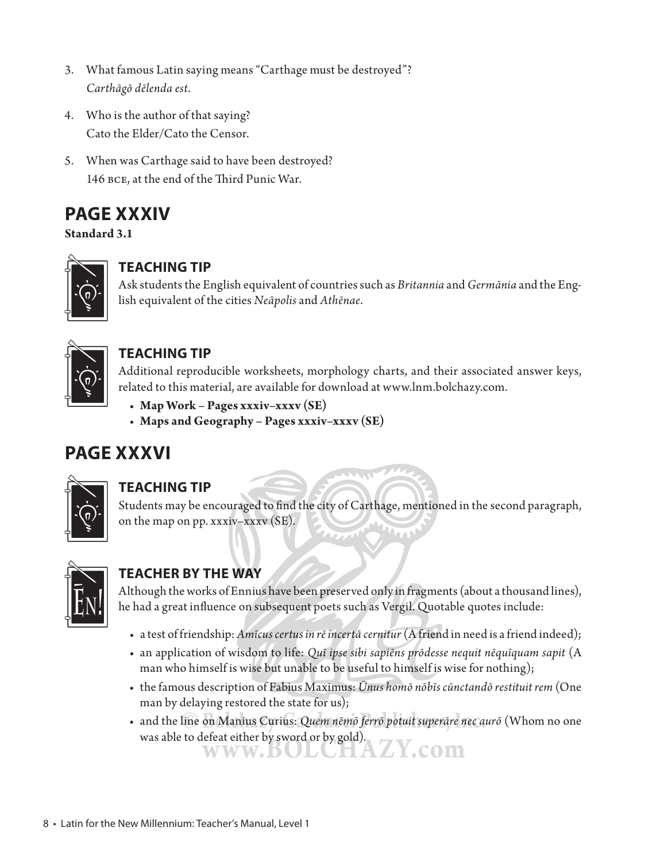- 3. What famous Latin saying means "Carthage must be destroyed"? *Carthāgō dēlenda est*.
- 4. Who is the author of that saying? Cato the Elder/Cato the Censor.
- 5. When was Carthage said to have been destroyed? 146 BCE, at the end of the Third Punic War.

# **PAGE XXXIV**

### **Standard 3.1**



### **TEACHING TIP**

Ask students the English equivalent of countries such as *Britannia* and *Germānia* and the English equivalent of the cities *Neāpolis* and *Athēnae*.



### **TEACHING TIP**

Additional reproducible worksheets, morphology charts, and their associated answer keys, related to this material, are available for download at www.lnm.bolchazy.com.

- **Map Work Pages xxxiv–xxxv (SE)**
- **Maps and Geography Pages xxxiv–xxxv (SE)**

# **PAGE XXXVI**



### **TEACHING TIP**

Students may be encouraged to find the city of Carthage, mentioned in the second paragraph, on the map on pp. xxxiv–xxxv (SE).



### **TEACHER BY THE WAY**

Although the works of Ennius have been preserved only in fragments (about a thousand lines), he had a great influence on subsequent poets such as Vergil. Quotable quotes include:

- a test of friendship: *Amīcus certus in rē incertā cernitur* (A friend in need is a friend indeed);
- an application of wisdom to life: *Quī ipse sibi sapiēns prōdesse nequit nēquīquam sapit* (A man who himself is wise but unable to be useful to himself is wise for nothing);
- the famous description of Fabius Maximus: *Ūnus homō nōbīs cūnctandō restituit rem* (One man by delaying restored the state for us);
- nan by delaying restored the state for us*j*,<br>
 and the line on Manius Curius: *Quem nēmō ferrō potuit superāre nec aurō* (Whom no one was able to defeat either by sword or by gold).

**www.BOLCHAZY.com**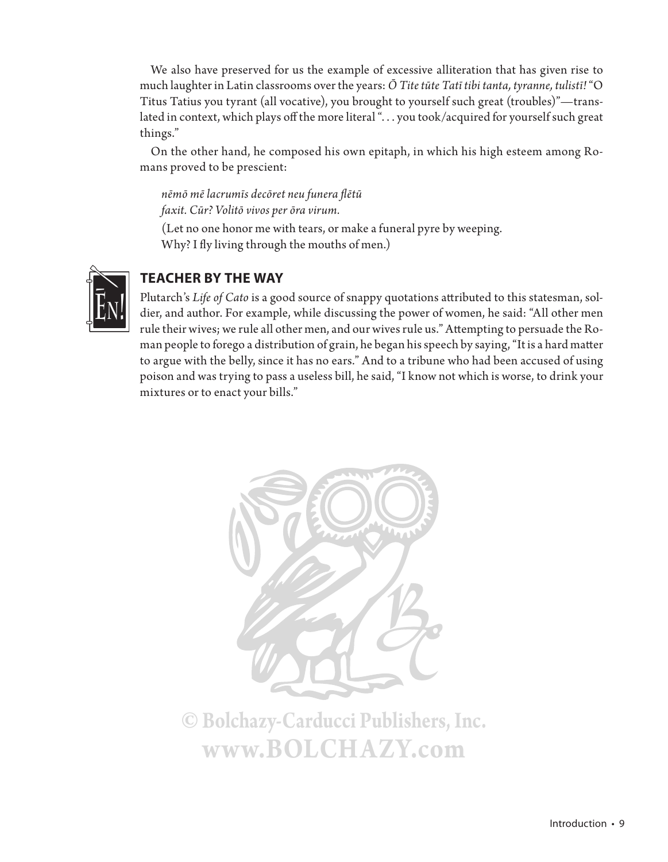We also have preserved for us the example of excessive alliteration that has given rise to much laughter in Latin classrooms over the years: *Ō Tite tūte Tatī tibi tanta, tyranne, tulistī!* "O Titus Tatius you tyrant (all vocative), you brought to yourself such great (troubles)"—translated in context, which plays off the more literal ". . . you took/acquired for yourself such great things."

On the other hand, he composed his own epitaph, in which his high esteem among Romans proved to be prescient:

### *nēmō mē lacrumīs decōret neu funera fl ētū faxit. Cūr? Volitō vivos per ōra virum.*

 (Let no one honor me with tears, or make a funeral pyre by weeping. Why? I fly living through the mouths of men.)



### **TEACHER BY THE WAY**

Plutarch's Life of Cato is a good source of snappy quotations attributed to this statesman, soldier, and author. For example, while discussing the power of women, he said: "All other men rule their wives; we rule all other men, and our wives rule us." Attempting to persuade the Roman people to forego a distribution of grain, he began his speech by saying, "It is a hard matter to argue with the belly, since it has no ears." And to a tribune who had been accused of using poison and was trying to pass a useless bill, he said, "I know not which is worse, to drink your mixtures or to enact your bills."

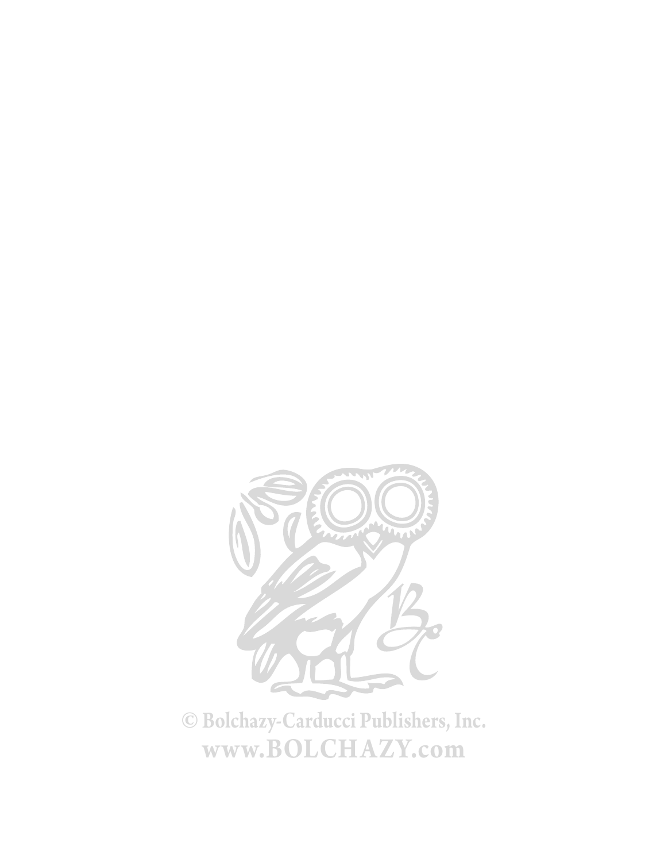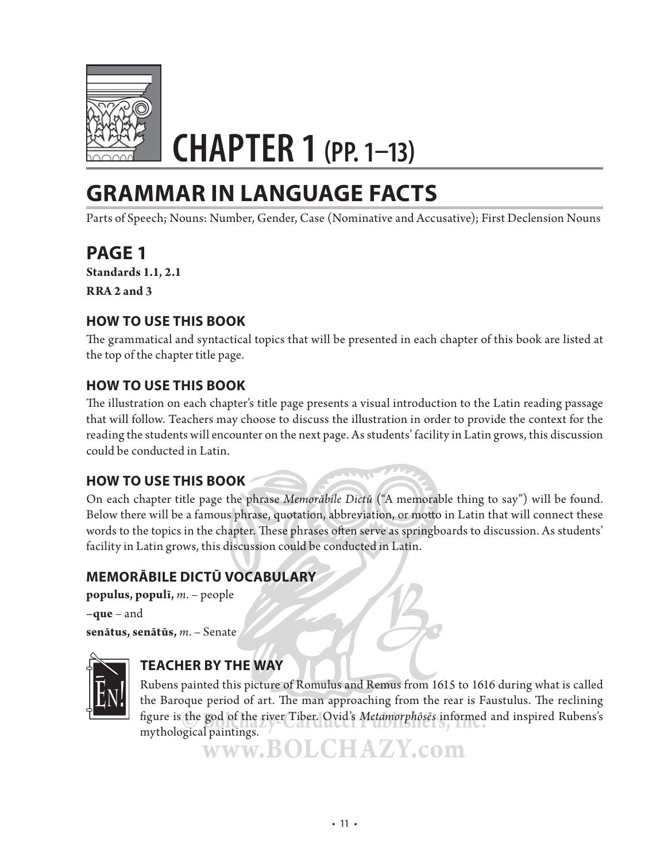

# **CHAPTER 1 (PP. 1–13)**

# **GRAMMAR IN LANGUAGE FACTS**

Parts of Speech; Nouns: Number, Gender, Case (Nominative and Accusative); First Declension Nouns

# **PAGE 1**

**Standards 1.1, 2.1 RRA 2 and 3**

### **HOW TO USE THIS BOOK**

The grammatical and syntactical topics that will be presented in each chapter of this book are listed at the top of the chapter title page.

### **HOW TO USE THIS BOOK**

The illustration on each chapter's title page presents a visual introduction to the Latin reading passage that will follow. Teachers may choose to discuss the illustration in order to provide the context for the reading the students will encounter on the next page. As students' facility in Latin grows, this discussion could be conducted in Latin.

### **HOW TO USE THIS BOOK**

On each chapter title page the phrase *Memorābile Dictū* ("A memorable thing to say") will be found. Below there will be a famous phrase, quotation, abbreviation, or motto in Latin that will connect these words to the topics in the chapter. These phrases often serve as springboards to discussion. As students' facility in Latin grows, this discussion could be conducted in Latin.

### **MEMORĀBILE DICTŪ VOCABULARY**

**populus, populī,** *m*. – people **–que** – and **senātus, senātūs,** *m*. – Senate



### **TEACHER BY THE WAY**

Rubens painted this picture of Romulus and Remus from 1615 to 1616 during what is called the Baroque period of art. The man approaching from the rear is Faustulus. The reclining figure is the god of the river Tiber. Ovid's *Metamorphōsēs* informed and inspired Rubens's figure is the god of the river Tiber. Ovid's *Metamorphōsēs* informed and inspired Rubens's mythological paintings.

**www.BOLCHAZY.com**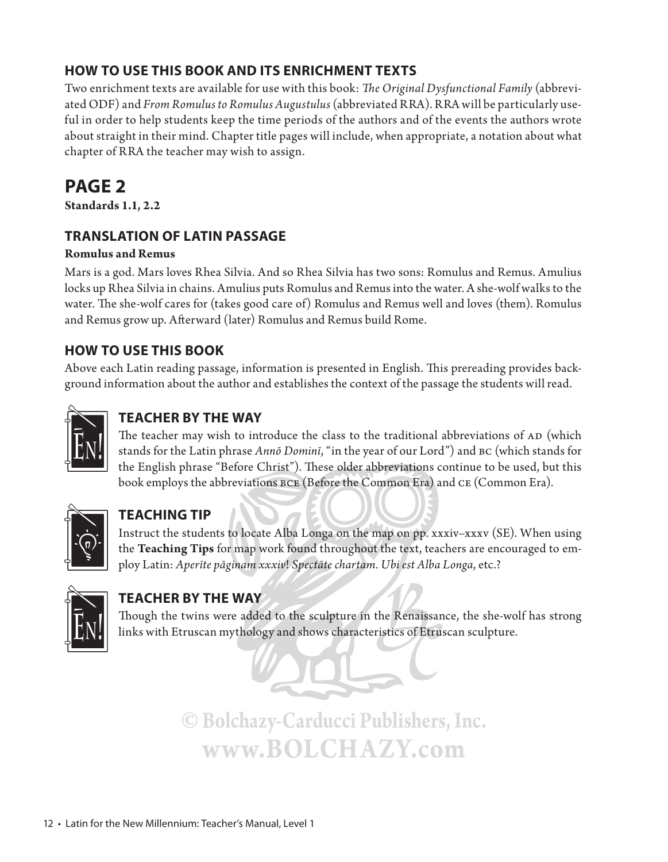### **HOW TO USE THIS BOOK AND ITS ENRICHMENT TEXTS**

Two enrichment texts are available for use with this book: *The Original Dysfunctional Family* (abbreviated ODF) and *From Romulus to Romulus Augustulus* (abbreviated RRA ). RRA will be particularly useful in order to help students keep the time periods of the authors and of the events the authors wrote about straight in their mind. Chapter title pages will include, when appropriate, a notation about what chapter of RRA the teacher may wish to assign.

# **PAGE 2**

**Standards 1.1, 2.2**

### **TRANSLATION OF LATIN PASSAGE**

### **Romulus and Remus**

Mars is a god. Mars loves Rhea Silvia. And so Rhea Silvia has two sons: Romulus and Remus. Amulius locks up Rhea Silvia in chains. Amulius puts Romulus and Remus into the water. A she-wolf walks to the water. The she-wolf cares for (takes good care of) Romulus and Remus well and loves (them). Romulus and Remus grow up. Afterward (later) Romulus and Remus build Rome.

### **HOW TO USE THIS BOOK**

Above each Latin reading passage, information is presented in English. This prereading provides background information about the author and establishes the context of the passage the students will read.



### **TEACHER BY THE WAY**

The teacher may wish to introduce the class to the traditional abbreviations of AD (which stands for the Latin phrase *Annō Dominī*, "in the year of our Lord") and BC (which stands for the English phrase "Before Christ"). These older abbreviations continue to be used, but this book employs the abbreviations bce (Before the Common Era) and ce (Common Era).



### **TEACHING TIP**

Instruct the students to locate Alba Longa on the map on pp. xxxiv–xxxv (SE). When using the **Teaching Tips** for map work found throughout the text, teachers are encouraged to employ Latin: *Aperīte pāginam xxxiv*! *Spectāte chartam. Ubi est Alba Longa*, etc.?



### **TEACHER BY THE WAY**

Though the twins were added to the sculpture in the Renaissance, the she-wolf has strong links with Etruscan mythology and shows characteristics of Etruscan sculpture.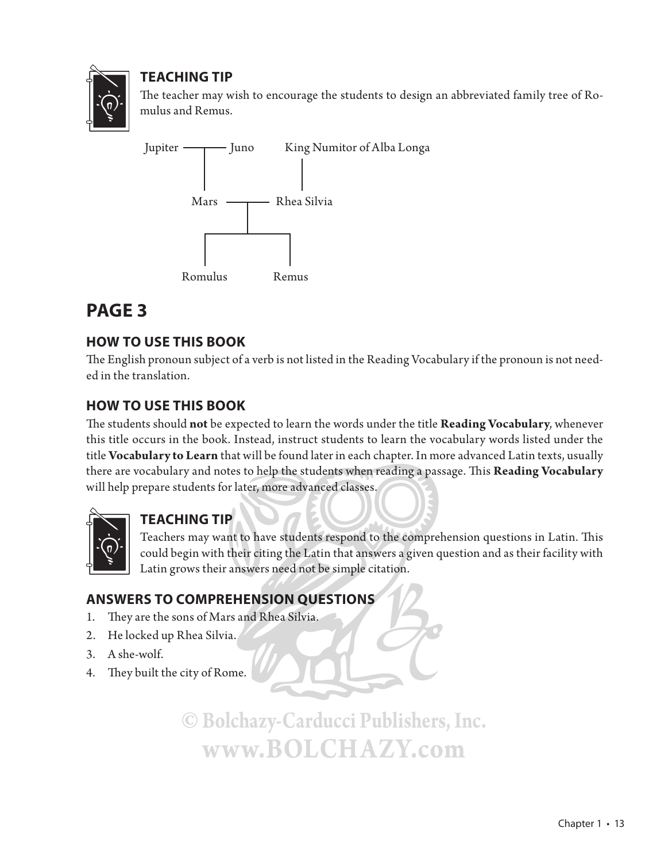

### **TEACHING TIP**

The teacher may wish to encourage the students to design an abbreviated family tree of Romulus and Remus.



# **PAGE 3**

### **HOW TO USE THIS BOOK**

The English pronoun subject of a verb is not listed in the Reading Vocabulary if the pronoun is not needed in the translation.

### **HOW TO USE THIS BOOK**

The students should **not** be expected to learn the words under the title Reading Vocabulary, whenever this title occurs in the book. Instead, instruct students to learn the vocabulary words listed under the title **Vocabulary to Learn** that will be found later in each chapter. In more advanced Latin texts, usually there are vocabulary and notes to help the students when reading a passage. This Reading Vocabulary will help prepare students for later, more advanced classes.



### **TEACHING TIP**

Teachers may want to have students respond to the comprehension questions in Latin. This could begin with their citing the Latin that answers a given question and as their facility with Latin grows their answers need not be simple citation.

### **ANSWERS TO COMPREHENSION QUESTIONS**

- 1. They are the sons of Mars and Rhea Silvia.
- 2. He locked up Rhea Silvia.
- 3. A she-wolf.
- 4. They built the city of Rome.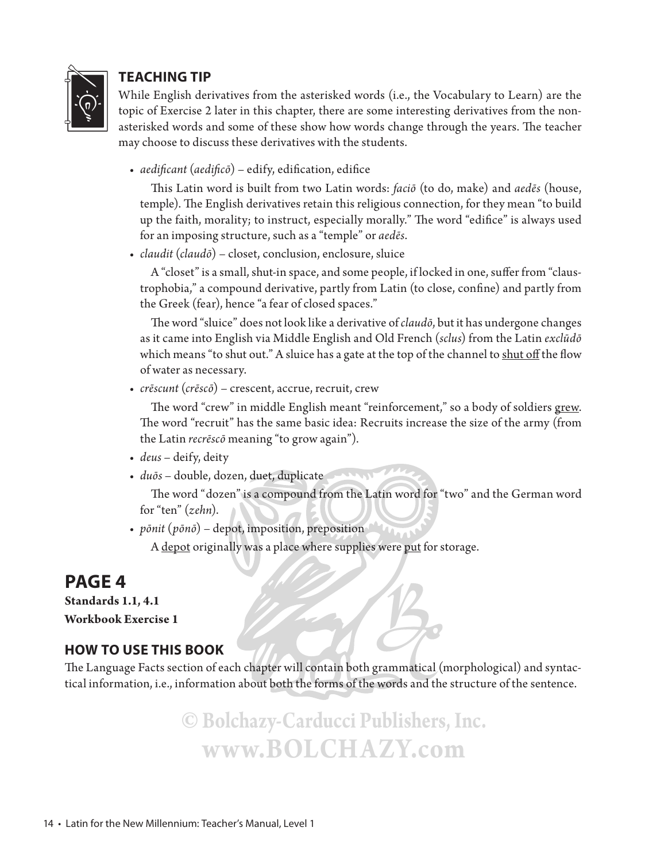

### **TEACHING TIP**

While English derivatives from the asterisked words (i.e., the Vocabulary to Learn) are the topic of Exercise 2 later in this chapter, there are some interesting derivatives from the nonasterisked words and some of these show how words change through the years. The teacher may choose to discuss these derivatives with the students.

• *aedificant* (*aedifico*) – edify, edification, edifice

This Latin word is built from two Latin words: *faciō* (to do, make) and *aedēs* (house, temple). The English derivatives retain this religious connection, for they mean "to build up the faith, morality; to instruct, especially morally." The word "edifice" is always used for an imposing structure, such as a "temple" or *aedēs*.

• *claudit* (*claudō*) – closet, conclusion, enclosure, sluice

A "closet" is a small, shut-in space, and some people, if locked in one, suffer from "claustrophobia," a compound derivative, partly from Latin (to close, confine) and partly from the Greek (fear), hence "a fear of closed spaces."

The word "sluice" does not look like a derivative of *claudō*, but it has undergone changes as it came into English via Middle English and Old French (*sclus*) from the Latin *exclūdō* which means "to shut out." A sluice has a gate at the top of the channel to shut off the flow of water as necessary.

• *crēscunt* (*crēscō*) – crescent, accrue, recruit, crew

The word "crew" in middle English meant "reinforcement," so a body of soldiers g<u>rew</u>. The word "recruit" has the same basic idea: Recruits increase the size of the army (from the Latin *recrēscō* meaning "to grow again").

- *deus* deify, deity
- *duōs* double, dozen, duet, duplicate

The word "dozen" is a compound from the Latin word for "two" and the German word for "ten" (*zehn*).

• *pōnit* (*pōnō*) – depot, imposition, preposition

A depot originally was a place where supplies were put for storage.

# **PAGE 4**

**Standards 1.1, 4.1 Workbook Exercise 1**

### **HOW TO USE THIS BOOK**

The Language Facts section of each chapter will contain both grammatical (morphological) and syntactical information, i.e., information about both the forms of the words and the structure of the sentence.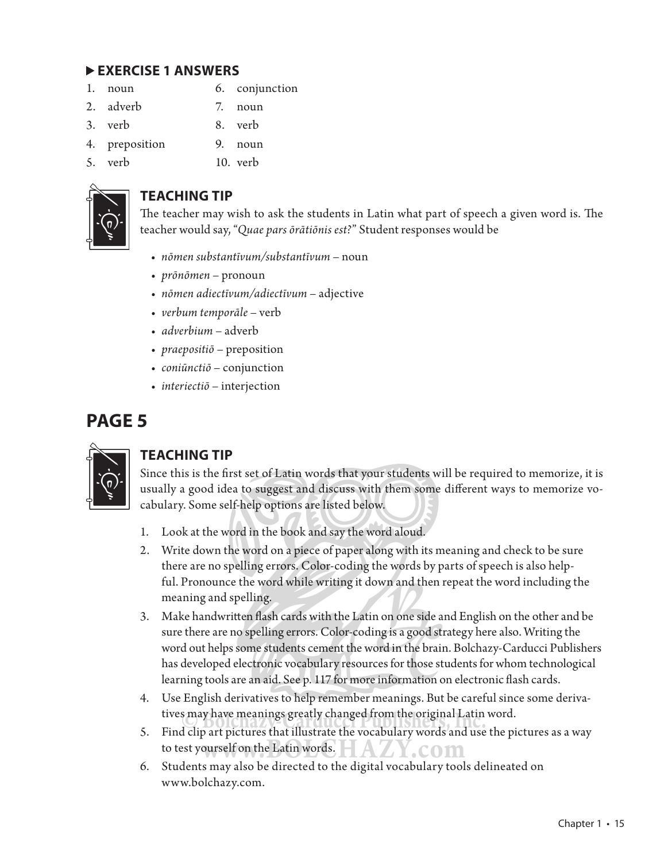### **EXERCISE 1 ANSWERS**

- 1. noun 6. conjunction
- 2. adverb 7. noun
- 3. verb 8. verb
- 4. preposition 9. noun
- 5. verb 10. verb



#### **TEACHING TIP**

The teacher may wish to ask the students in Latin what part of speech a given word is. The teacher would say, "*Quae pars ōrātiōnis est?*" Student responses would be

- *nōmen substantīvum/substantīvum* noun
- *prōnōmen* pronoun
- *nōmen adiectīvum/adiectīvum* adjective
- *verbum temporāle* verb
- *adverbium* adverb
- *praepositiō* preposition
- *coniūnctiō* conjunction
- *interiectiō* interjection

# **PAGE 5**



### **TEACHING TIP**

Since this is the first set of Latin words that your students will be required to memorize, it is usually a good idea to suggest and discuss with them some different ways to memorize vocabulary. Some self-help options are listed below.

- 1. Look at the word in the book and say the word aloud.
- 2. Write down the word on a piece of paper along with its meaning and check to be sure there are no spelling errors. Color-coding the words by parts of speech is also helpful. Pronounce the word while writing it down and then repeat the word including the meaning and spelling.
- 3. Make handwritten flash cards with the Latin on one side and English on the other and be sure there are no spelling errors. Color-coding is a good strategy here also. Writing the word out helps some students cement the word in the brain. Bolchazy-Carducci Publishers has developed electronic vocabulary resources for those students for whom technological learning tools are an aid. See p. 117 for more information on electronic flash cards.
- 4. Use English derivatives to help remember meanings. But be careful since some deriva-
- tives may have meanings greatly changed from the original Latin word.<br>Find clip art pictures that illustrate the vocabulary words and use the pi<br>to test yourself on the Latin words.<br>Students may also be directed to the dig 5. Find clip art pictures that illustrate the vocabulary words and use the pictures as a way to test yourself on the Latin words. to test yourself on the Latin words.
- 6. Students may also be directed to the digital vocabulary tools delineated on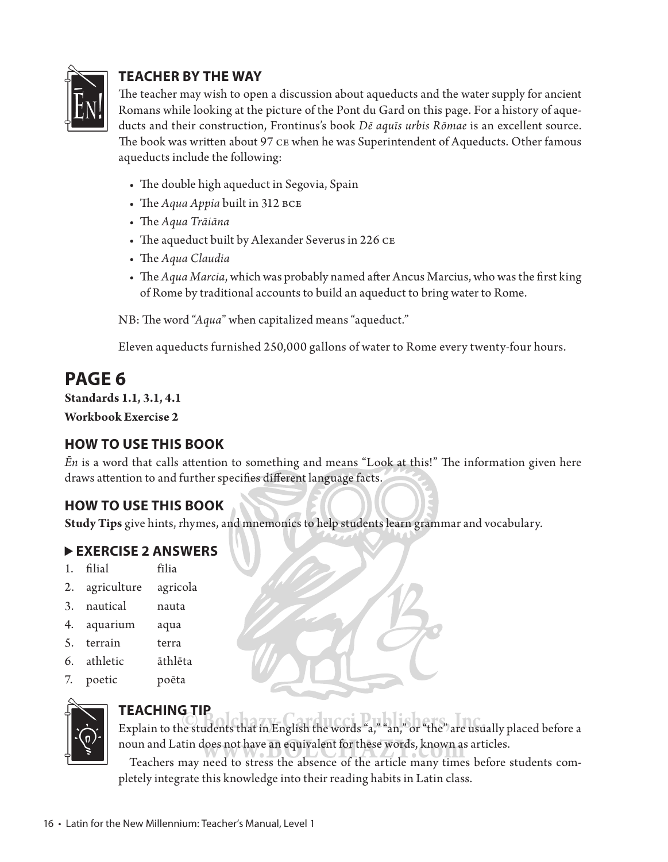

### **TEACHER BY THE WAY**

The teacher may wish to open a discussion about aqueducts and the water supply for ancient Romans while looking at the picture of the Pont du Gard on this page. For a history of aqueducts and their construction, Frontinus's book *Dē aquīs urbis Rōmae* is an excellent source. The book was written about 97 CE when he was Superintendent of Aqueducts. Other famous aqueducts include the following:

- The double high aqueduct in Segovia, Spain
- The *Aqua Appia* built in 312 BCE
- The *Aqua Trāiāna*
- The aqueduct built by Alexander Severus in 226 CE
- The *Aqua Claudia*
- The *Aqua Marcia*, which was probably named after Ancus Marcius, who was the first king of Rome by traditional accounts to build an aqueduct to bring water to Rome.

NB: The word "Aqua" when capitalized means "aqueduct."

Eleven aqueducts furnished 250,000 gallons of water to Rome every twenty-four hours.

# **PAGE 6**

**Standards 1.1, 3.1, 4.1**

**Workbook Exercise 2**

### **HOW TO USE THIS BOOK**

*Ēn* is a word that calls attention to something and means "Look at this!" The information given here draws attention to and further specifies different language facts.

### **HOW TO USE THIS BOOK**

**Study Tips** give hints, rhymes, and mnemonics to help students learn grammar and vocabulary.

### **EXERCISE 2 ANSWERS**

- 1. filial fīlia
- 2. agriculture agricola
- 3. nautical nauta
- 4. aquarium aqua
- 5. terrain terra
- 6. athletic āthlēta
- 7. poetic poēta



### **TEACHING TIP**

Explain to the students that in English the words "a," "an," or "the" are usually placed before a moun and Latin does not have an equivalent for these words, known as articles. **TEACHING TIP**<br>Explain to the students that in English the words "a," "an," or "the" are usu<br>noun and Latin does not have an equivalent for these words, known as art<br>Teachers may need to stress the absence of the article m

Teachers may need to stress the absence of the article many times before students com-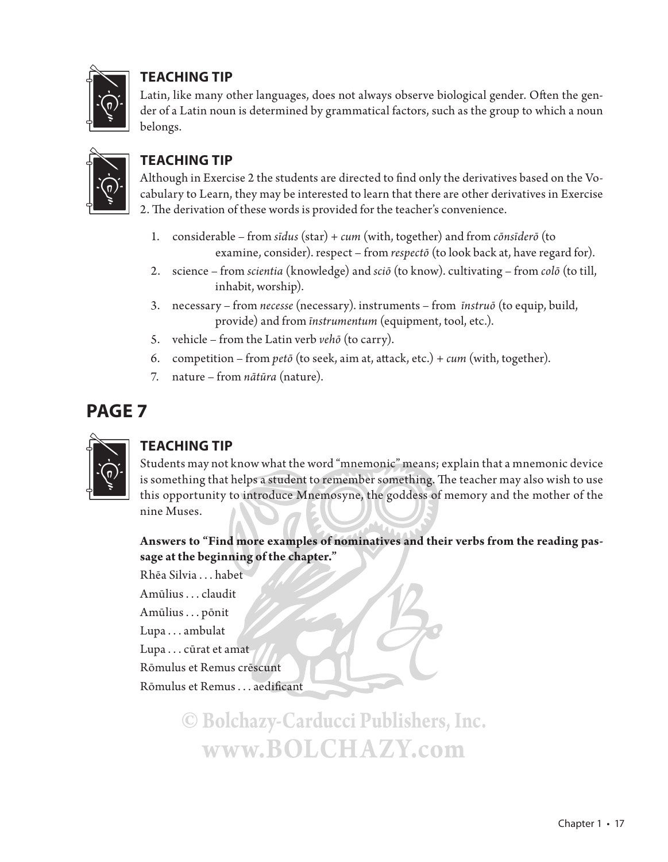

### **TEACHING TIP**

Latin, like many other languages, does not always observe biological gender. Often the gender of a Latin noun is determined by grammatical factors, such as the group to which a noun belongs.



### **TEACHING TIP**

Although in Exercise 2 the students are directed to find only the derivatives based on the Vocabulary to Learn, they may be interested to learn that there are other derivatives in Exercise 2. The derivation of these words is provided for the teacher's convenience.

- 1. considerable from *sīdus* (star) + *cum* (with, together) and from *cōnsīderō* (to examine, consider). respect – from *respectō* (to look back at, have regard for).
- 2. science from *scientia* (knowledge) and *sciō* (to know). cultivating from *colō* (to till, inhabit, worship).
- 3. necessary from *necesse* (necessary). instruments from *īnstruō* (to equip, build, provide) and from *īnstrumentum* (equipment, tool, etc.).
- 5. vehicle from the Latin verb *vehō* (to carry).
- 6. competition from *petō* (to seek, aim at, att ack, etc.) + *cum* (with, together).
- 7. nature from *nātūra* (nature).

# **PAGE 7**



### **TEACHING TIP**

Students may not know what the word "mnemonic" means; explain that a mnemonic device is something that helps a student to remember something. The teacher may also wish to use this opportunity to introduce Mnemosyne, the goddess of memory and the mother of the nine Muses.

**Answers to "Find more examples of nominatives and their verbs from the reading passage at the beginning of the chapter."**

Rhēa Silvia . . . habet

Amūlius . . . claudit

Amūlius . . . pōnit

Lupa . . . ambulat

Lupa . . . cūrat et amat

Rōmulus et Remus crēscunt

Rōmulus et Remus . . . aedificant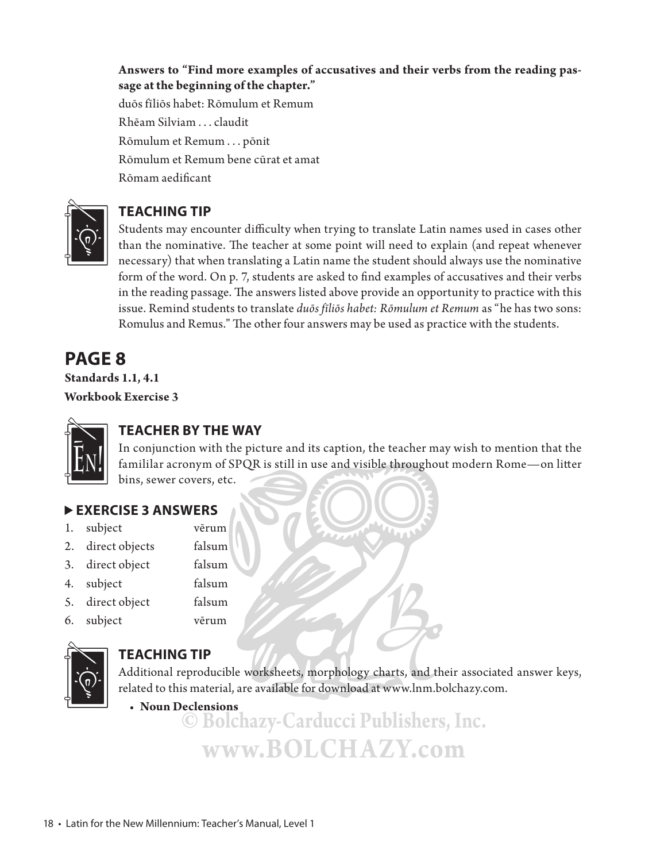**Answers to "Find more examples of accusatives and their verbs from the reading passage at the beginning of the chapter."**

duōs fīliōs habet: Rōmulum et Remum Rhēam Silviam . . . claudit Rōmulum et Remum . . . pōnit Rōmulum et Remum bene cūrat et amat Rōmam aedificant



### **TEACHING TIP**

Students may encounter difficulty when trying to translate Latin names used in cases other than the nominative. The teacher at some point will need to explain (and repeat whenever necessary) that when translating a Latin name the student should always use the nominative form of the word. On p. 7, students are asked to find examples of accusatives and their verbs in the reading passage. The answers listed above provide an opportunity to practice with this issue. Remind students to translate *duōs fīliōs habet: Rōmulum et Remum* as "he has two sons: Romulus and Remus." The other four answers may be used as practice with the students.

# **PAGE 8**

**Standards 1.1, 4.1 Workbook Exercise 3**



### **TEACHER BY THE WAY**

In conjunction with the picture and its caption, the teacher may wish to mention that the famililar acronym of SPQR is still in use and visible throughout modern Rome-on litter bins, sewer covers, etc.

### **EXERCISE 3 ANSWERS**

- 1. subject vērum
- 2. direct objects falsum
- 3. direct object falsum
- 4. subject falsum
- 5. direct object falsum
- 6. subject vērum



### **TEACHING TIP**

Additional reproducible worksheets, morphology charts, and their associated answer keys, related to this material, are available for download at www.lnm.bolchazy.com.

• **Noun Declensions**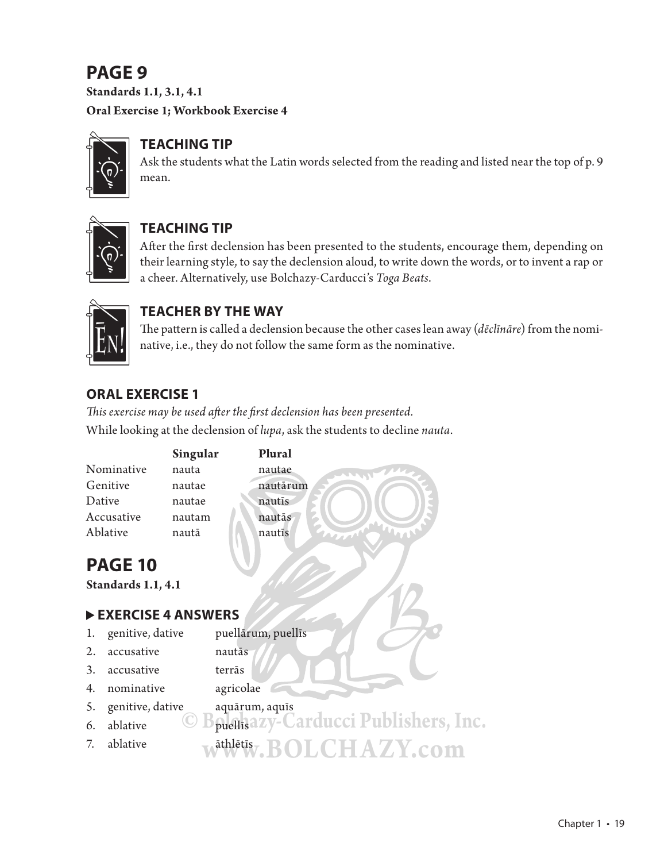# **PAGE 9**

**Standards 1.1, 3.1, 4.1 Oral Exercise 1; Workbook Exercise 4**



### **TEACHING TIP**

Ask the students what the Latin words selected from the reading and listed near the top of p. 9 mean.



### **TEACHING TIP**

After the first declension has been presented to the students, encourage them, depending on their learning style, to say the declension aloud, to write down the words, or to invent a rap or a cheer. Alternatively, use Bolchazy-Carducci's *Toga Beats*.



### **TEACHER BY THE WAY**

The pattern is called a declension because the other cases lean away (*dēclīnāre*) from the nominative, i.e., they do not follow the same form as the nominative.

### **ORAL EXERCISE 1**

This exercise may be used after the first declension has been presented. While looking at the declension of *lupa*, ask the students to decline *nauta*.

|            | Singular | Plural   |  |
|------------|----------|----------|--|
| Nominative | nauta    | nautae   |  |
| Genitive   | nautae   | nautārum |  |
| Dative     | nautae   | nautis   |  |
| Accusative | nautam   | nautās   |  |
| Ablative   | nautā    | nautis   |  |
|            |          |          |  |

# **PAGE 10**

**Standards 1.1, 4.1**

### **EXERCISE 4 ANSWERS**

|                  | 1. genitive, dative | puellārum, puellīs                           |
|------------------|---------------------|----------------------------------------------|
| 2.               | accusative          | nautās                                       |
| 3.               | accusative          | terrās                                       |
| $\overline{4}$ . | nominative          | agricolae                                    |
|                  | 5. genitive, dative | aquārum, aquīs                               |
| 6.               | ablative            | Bpuellis azy-Carducci Publishers, Inc.       |
| 7.               | ablative            | A <sup>athletis</sup> v. <b>BOLCHAZY.com</b> |

1927 AV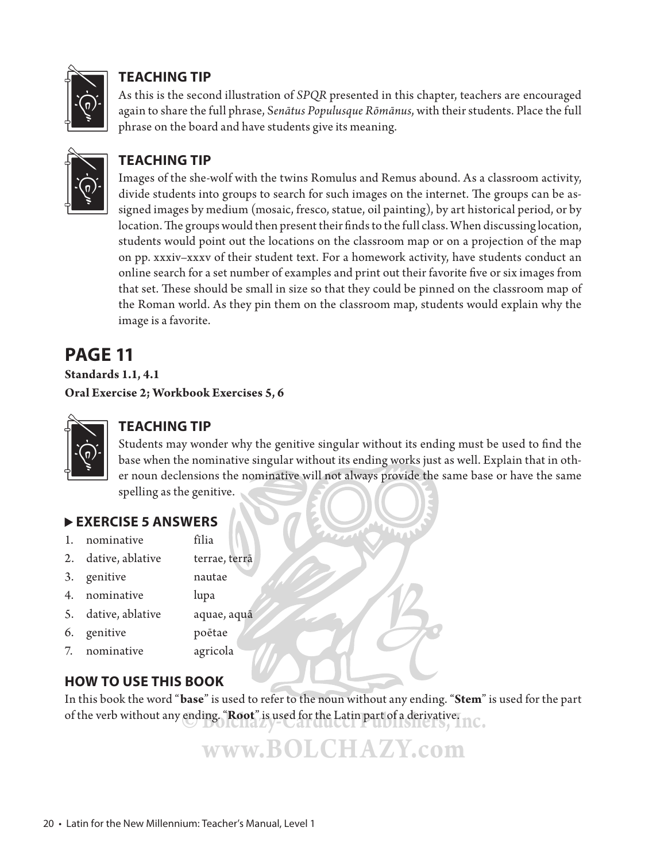

### **TEACHING TIP**

As this is the second illustration of *SPQR* presented in this chapter, teachers are encouraged again to share the full phrase, S*enātus Populusque Rōmānus*, with their students. Place the full phrase on the board and have students give its meaning.



### **TEACHING TIP**

Images of the she-wolf with the twins Romulus and Remus abound. As a classroom activity, divide students into groups to search for such images on the internet. The groups can be assigned images by medium (mosaic, fresco, statue, oil painting), by art historical period, or by location. The groups would then present their finds to the full class. When discussing location, students would point out the locations on the classroom map or on a projection of the map on pp. xxxiv–xxxv of their student text. For a homework activity, have students conduct an online search for a set number of examples and print out their favorite five or six images from that set. These should be small in size so that they could be pinned on the classroom map of the Roman world. As they pin them on the classroom map, students would explain why the image is a favorite.

# **PAGE 11**

**Standards 1.1, 4.1 Oral Exercise 2; Workbook Exercises 5, 6**



### **TEACHING TIP**

Students may wonder why the genitive singular without its ending must be used to find the base when the nominative singular without its ending works just as well. Explain that in other noun declensions the nominative will not always provide the same base or have the same spelling as the genitive.

### **EXERCISE 5 ANSWERS**

- 1. nominative fīlia
- 2. dative, ablative terrae, terrā
- 3. genitive nautae
- 4. nominative lupa
- 5. dative, ablative aquae, aquā
- 6. genitive poētae
- 7. nominative agricola

### **HOW TO USE THIS BOOK**

In this book the word "**base**" is used to refer to the noun without any ending. "**Stem**" is used for the part of the verb without any ending. "**Root**" is used for the Latin part of a derivative.

# **www.BOLCHAZY.com**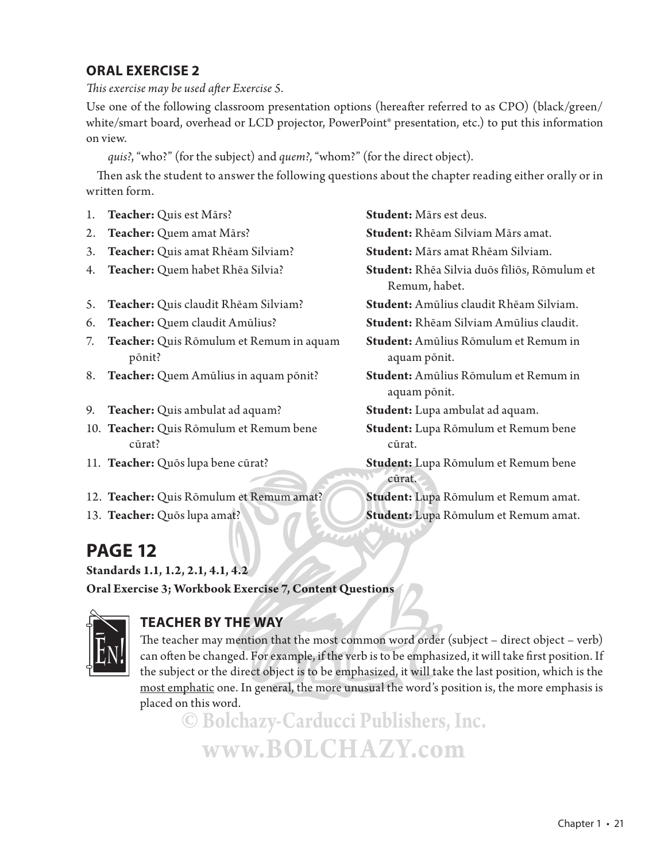### **ORAL EXERCISE 2**

*This exercise may be used after Exercise 5.* 

Use one of the following classroom presentation options (hereafter referred to as CPO) (black/green/ white/smart board, overhead or LCD projector, PowerPoint® presentation, etc.) to put this information on view.

 *quis?*, "who?" (for the subject) and *quem?*, "whom?" (for the direct object).

Then ask the student to answer the following questions about the chapter reading either orally or in written form

- 1. **Teacher:** Quis est Mārs? **Student:** Mārs est deus.
- 
- 3. **Teacher:** Quis amat Rhēam Silviam? **Student:** Mārs amat Rhēam Silviam.
- 
- 
- 
- 7. **Teacher:** Quis Rōmulum et Remum in aquam pōnit?
- 8. **Teacher:** Quem Amūlius in aquam pōnit? **Student:** Amūlius Rōmulum et Remum in
- 9. **Teacher:** Quis ambulat ad aquam? **Student:** Lupa ambulat ad aquam.
- 10. **Teacher:** Quis Rōmulum et Remum bene cūrat?
- 
- 12. **Teacher:** Quis Rōmulum et Remum amat? **Student:** Lupa Rōmulum et Remum amat.
- 

### **PAGE 12**

**Standards 1.1, 1.2, 2.1, 4.1, 4.2 Oral Exercise 3; Workbook Exercise 7, Content Questions**



### **TEACHER BY THE WAY**

The teacher may mention that the most common word order (subject – direct object – verb) can often be changed. For example, if the verb is to be emphasized, it will take first position. If the subject or the direct object is to be emphasized, it will take the last position, which is the most emphatic one. In general, the more unusual the word's position is, the more emphasis is placed on this word.

**© Bolchazy-Carducci Publishers, Inc. www.BOLCHAZY.com**

2. **Teacher:** Quem amat Mārs? **Student:** Rhēam Silviam Mārs amat.

- 4. **Teacher:** Quem habet Rhēa Silvia? **Student:** Rhēa Silvia duōs fīliōs, Rōmulum et Remum, habet.
- 5. **Teacher:** Quis claudit Rhēam Silviam? **Student:** Amūlius claudit Rhēam Silviam.

6. **Teacher:** Quem claudit Amūlius? **Student:** Rhēam Silviam Amūlius claudit.

**Student:** Amūlius Rōmulum et Remum in aquam pōnit.

aquam pōnit.

- **Student:** Lupa Rōmulum et Remum bene cūrat.
- 11. **Teacher:** Quōs lupa bene cūrat? **Student:** Lupa Rōmulum et Remum bene cūrat.

13. **Teacher:** Quōs lupa amat? **Student:** Lupa Rōmulum et Remum amat.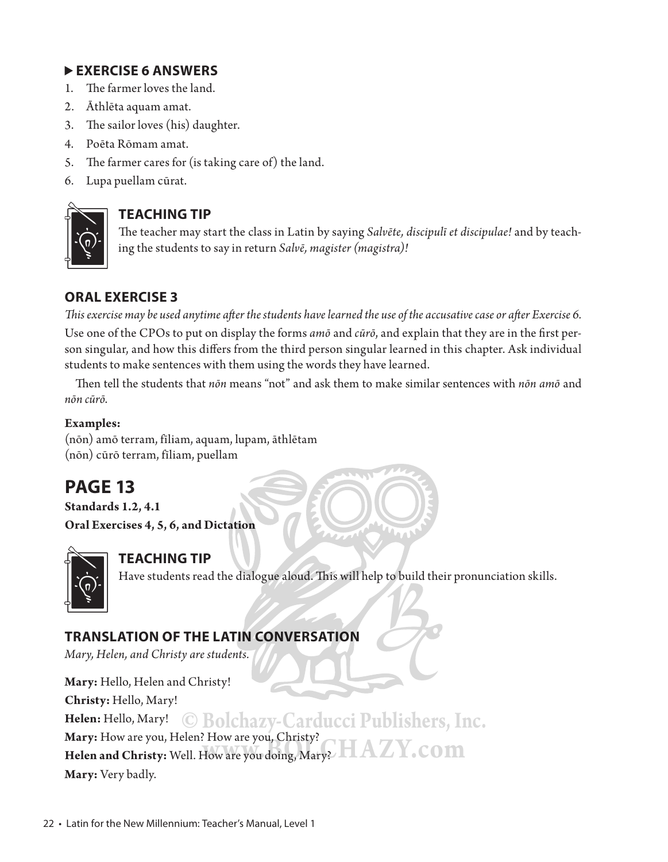### **EXERCISE 6 ANSWERS**

- 1. The farmer loves the land.
- 2. Āthlēta aquam amat.
- 3. The sailor loves (his) daughter.
- 4. Poēta Rōmam amat.
- 5. The farmer cares for (is taking care of) the land.
- 6. Lupa puellam cūrat.



### **TEACHING TIP**

The teacher may start the class in Latin by saying *Salvēte, discipulī et discipulae!* and by teaching the students to say in return *Salvē, magister (magistra)!* 

### **ORAL EXERCISE 3**

*This exercise may be used anytime after the students have learned the use of the accusative case or after Exercise 6.* 

Use one of the CPOs to put on display the forms *amō* and *cūrō*, and explain that they are in the first person singular, and how this differs from the third person singular learned in this chapter. Ask individual students to make sentences with them using the words they have learned.

Then tell the students that *nōn* means "not" and ask them to make similar sentences with *nōn amō* and *nōn cūrō*.

### **Examples:**

(nōn) amō terram, fīliam, aquam, lupam, āthlētam (nōn) cūrō terram, fīliam, puellam

# **PAGE 13**

**Standards 1.2, 4.1 Oral Exercises 4, 5, 6, and Dictation**



**TEACHING TIP**

Have students read the dialogue aloud. This will help to build their pronunciation skills.

### **TRANSLATION OF THE LATIN CONVERSATION**

*Mary, Helen, and Christy are students.*

**Mary:** Hello, Helen and Christy! **Christy:** Hello, Mary! **Helen:** Hello, Mary! © **Bolchazy-Carducci Publishers, Inc.**<br>Mary: How are you, Helen? How are you, Christy? **AZY. COM**<br>Helen and Christy: Well. How are you doing, Mary? **AZY. COM Mary:** How are you, Helen? How are you, Christy?<br>**Helen and Christy:** Well, How are you doing. Mary? **Helen and Christy:** Well. How are you doing, Mary?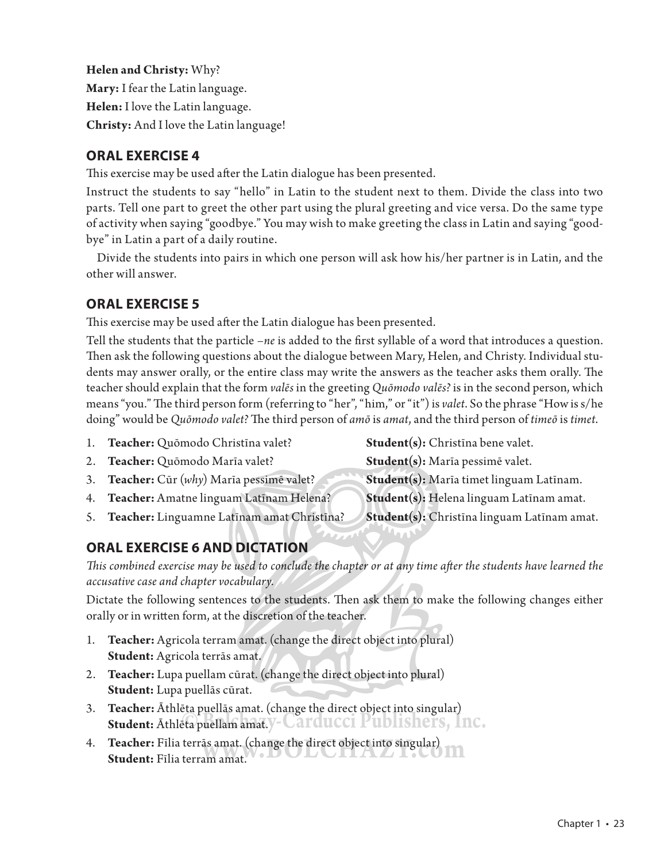**Helen and Christy:** Why? **Mary:** I fear the Latin language. **Helen:** I love the Latin language. **Christy:** And I love the Latin language!

### **ORAL EXERCISE 4**

This exercise may be used after the Latin dialogue has been presented.

Instruct the students to say "hello" in Latin to the student next to them. Divide the class into two parts. Tell one part to greet the other part using the plural greeting and vice versa. Do the same type of activity when saying "goodbye." You may wish to make greeting the class in Latin and saying "goodbye" in Latin a part of a daily routine.

Divide the students into pairs in which one person will ask how his/her partner is in Latin, and the other will answer.

### **ORAL EXERCISE 5**

This exercise may be used after the Latin dialogue has been presented.

Tell the students that the particle *–ne* is added to the first syllable of a word that introduces a question. Then ask the following questions about the dialogue between Mary, Helen, and Christy. Individual students may answer orally, or the entire class may write the answers as the teacher asks them orally. The teacher should explain that the form *valēs* in the greeting *Quōmodo valēs?* is in the second person, which means "you." The third person form (referring to "her", "him," or "it") is *valet*. So the phrase "How is s/he doing" would be *Quōmodo valet?* The third person of *amō* is *amat*, and the third person of *timeō* is *timet*.

- 1. **Teacher:** Quōmodo Christīna valet? **Student(s):** Christīna bene valet. 2. **Teacher:** Quōmodo Marīa valet? **Student(s):** Marīa pessimē valet. 3. **Teacher:** Cūr (*why*) Marīa pessimē valet? **Student(s):** Marīa timet linguam Latīnam. 4. **Teacher:** Amatne linguam Latīnam Helena? **Student(s):** Helena linguam Latīnam amat.
- 5. **Teacher:** Linguamne Latīnam amat Christīna? **Student(s):** Christīna linguam Latīnam amat.
- 
- 

### **ORAL EXERCISE 6 AND DICTATION**

This combined exercise may be used to conclude the chapter or at any time after the students have learned the *accusative case and chapter vocabulary.*

Dictate the following sentences to the students. Then ask them to make the following changes either orally or in written form, at the discretion of the teacher.

- 1. **Teacher:** Agricola terram amat. (change the direct object into plural) **Student:** Agricola terrās amat.
- 2. **Teacher:** Lupa puellam cūrat. (change the direct object into plural) **Student:** Lupa puellās cūrat.
- 3. **Teacher:** Āthlēta puellās amat. (change the direct object into singular) **Student:** Āthlēta puellam amat.
- 4. **Teacher:** Fīlia terrās amat. (change the direct object into singular) **Teacher:** Athlēta puellās amat. (change the direct object into singular)<br>**Student:** Āthlēta puellam amat. / Call CUCCI PUDLISHEIS, INC.<br>**Teacher:** Fīlia terrās amat. (change the direct object into singular)<br>**Student:** Fīl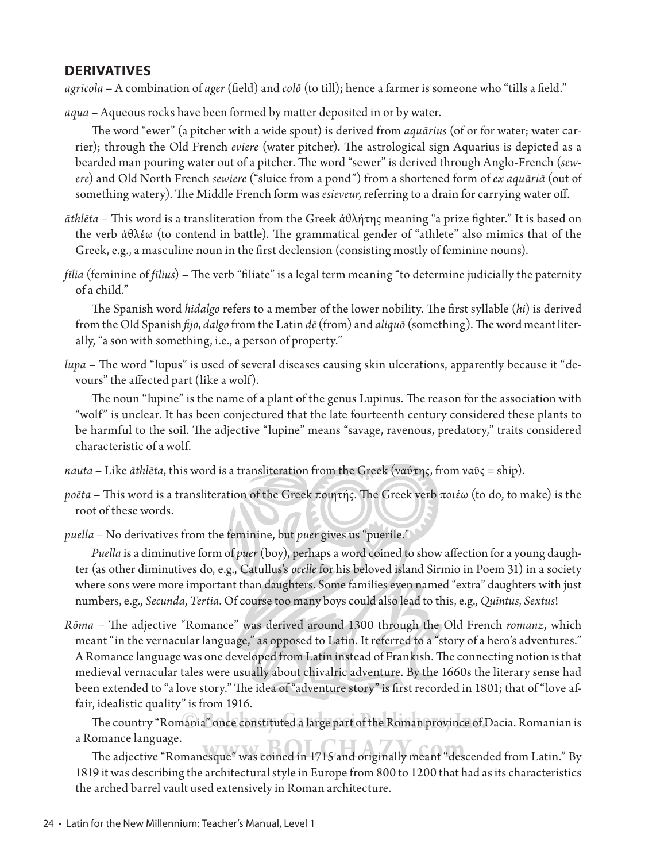### **DERIVATIVES**

*agricola* – A combination of *ager* (field) and *colō* (to till); hence a farmer is someone who "tills a field."

aqua – Aqueous rocks have been formed by matter deposited in or by water.

The word "ewer" (a pitcher with a wide spout) is derived from *aquārius* (of or for water; water carrier); through the Old French *eviere* (water pitcher). The astrological sign Aquarius is depicted as a bearded man pouring water out of a pitcher. The word "sewer" is derived through Anglo-French (sew*ere*) and Old North French *sewiere* ("sluice from a pond") from a shortened form of *ex aquāriā* (out of something watery). The Middle French form was *esieveur*, referring to a drain for carrying water off.

- *āthlēta* This word is a transliteration from the Greek ἀθλήτης meaning "a prize fighter." It is based on the verb  $\dot{\alpha}\theta\lambda \dot{\epsilon}\omega$  (to contend in battle). The grammatical gender of "athlete" also mimics that of the Greek, e.g., a masculine noun in the first declension (consisting mostly of feminine nouns).
- *fīlia* (feminine of *fīlius*) The verb "filiate" is a legal term meaning "to determine judicially the paternity of a child."

The Spanish word *hidalgo* refers to a member of the lower nobility. The first syllable (*hi*) is derived from the Old Spanish *fijo, dalgo* from the Latin *dē* (from) and *aliquō* (something). The word meant literally, "a son with something, i.e., a person of property."

*lupa* – The word "lupus" is used of several diseases causing skin ulcerations, apparently because it "devours" the affected part (like a wolf).

The noun "lupine" is the name of a plant of the genus Lupinus. The reason for the association with "wolf " is unclear. It has been conjectured that the late fourteenth century considered these plants to be harmful to the soil. The adjective "lupine" means "savage, ravenous, predatory," traits considered characteristic of a wolf.

- *nauta* Like *āthlēta*, this word is a transliteration from the Greek (ναύτης, from ναῦς = ship).
- *poēta* This word is a transliteration of the Greek ποιητής. The Greek verb ποιέω (to do, to make) is the root of these words.

*puella* – No derivatives from the feminine, but *puer* gives us "puerile."

*Puella* is a diminutive form of *puer* (boy), perhaps a word coined to show affection for a young daughter (as other diminutives do, e.g., Catullus's *ocelle* for his beloved island Sirmio in Poem 31) in a society where sons were more important than daughters. Some families even named "extra" daughters with just numbers, e.g., *Secunda*, *Tertia*. Of course too many boys could also lead to this, e.g., *Quīntus*, *Sextus*!

*Rōma* – The adjective "Romance" was derived around 1300 through the Old French *romanz*, which meant "in the vernacular language," as opposed to Latin. It referred to a "story of a hero's adventures." A Romance language was one developed from Latin instead of Frankish. The connecting notion is that medieval vernacular tales were usually about chivalric adventure. By the 1660s the literary sense had been extended to "a love story." The idea of "adventure story" is first recorded in 1801; that of "love affair, idealistic quality" is from 1916.

rair, idealistic quality <sup>1</sup>is from 1910.<br>The country "Romania" once constituted a large part of the Roman province of Dacia. Romanian is a Romance language.

a Romance language.<br>The adjective "Romanesque" was coined in 1715 and originally meant "descended from Latin." By 1819 it was describing the architectural style in Europe from 800 to 1200 that had as its characteristics the arched barrel vault used extensively in Roman architecture.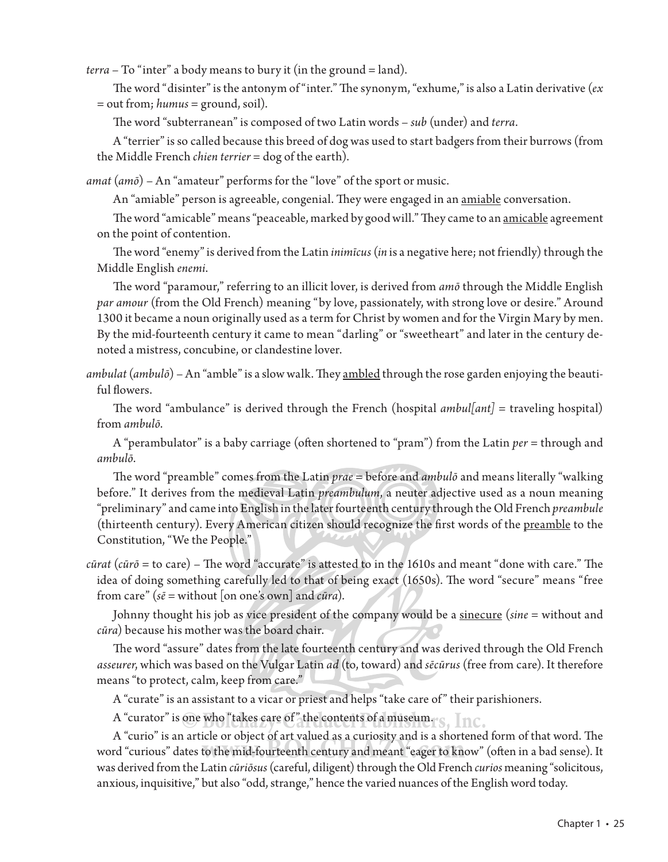*terra* – To "inter" a body means to bury it (in the ground = land).

The word "disinter" is the antonym of "inter." The synonym, "exhume," is also a Latin derivative ( $ex$ = out from; *humus* = ground, soil).

The word "subterranean" is composed of two Latin words – *sub* (under) and *terra*.

 A "terrier" is so called because this breed of dog was used to start badgers from their burrows (from the Middle French *chien terrier* = dog of the earth).

*amat* (*amō*) – An "amateur" performs for the "love" of the sport or music.

An "amiable" person is agreeable, congenial. They were engaged in an <u>amiable</u> conversation.

The word "amicable" means "peaceable, marked by good will." They came to an amicable agreement on the point of contention.

The word "enemy" is derived from the Latin *inimīcus* (*in* is a negative here; not friendly) through the Middle English *enemi*.

The word "paramour," referring to an illicit lover, is derived from *amō* through the Middle English *par amour* (from the Old French) meaning "by love, passionately, with strong love or desire." Around 1300 it became a noun originally used as a term for Christ by women and for the Virgin Mary by men. By the mid-fourteenth century it came to mean "darling" or "sweetheart" and later in the century denoted a mistress, concubine, or clandestine lover.

*ambulat (ambulō) –* An "amble" is a slow walk. They <u>ambled</u> through the rose garden enjoying the beautiful flowers.

The word "ambulance" is derived through the French (hospital *ambul*[ant] = traveling hospital) from *ambulō*.

A "perambulator" is a baby carriage (often shortened to "pram") from the Latin *per* = through and *ambulō*.

The word "preamble" comes from the Latin *prae* = before and *ambulō* and means literally "walking before." It derives from the medieval Latin *preambulum*, a neuter adjective used as a noun meaning "preliminary" and came into English in the later fourteenth century through the Old French *preambule* (thirteenth century). Every American citizen should recognize the first words of the preamble to the Constitution, "We the People."

*cūrat (cūrō = to care) – The word "accurate" is attested to in the 1610s and meant "done with care." The* idea of doing something carefully led to that of being exact (1650s). The word "secure" means "free from care" (*sē* = without [on one's own] and *cūra*).

 Johnny thought his job as vice president of the company would be a sinecure (*sine* = without and *cūra*) because his mother was the board chair.

The word "assure" dates from the late fourteenth century and was derived through the Old French *asseurer*, which was based on the Vulgar Latin *ad* (to, toward) and *sēcūrus* (free from care). It therefore means "to protect, calm, keep from care."

A "curate" is an assistant to a vicar or priest and helps "take care of " their parishioners.

A "curator" is one who "takes care of" the contents of a museum.

A "curio" is an article or object of art valued as a curiosity and is a shortened form of that word. The A "curio" is an article or object of art valued as a curiosity and is a shortened form of that word. The word "curious" dates to the mid-fourteenth century and meant "eager to know" (often in a bad sense). It was derived from the Latin *cūriōsus* (careful, diligent) through the Old French *curios* meaning "solicitous, anxious, inquisitive," but also "odd, strange," hence the varied nuances of the English word today.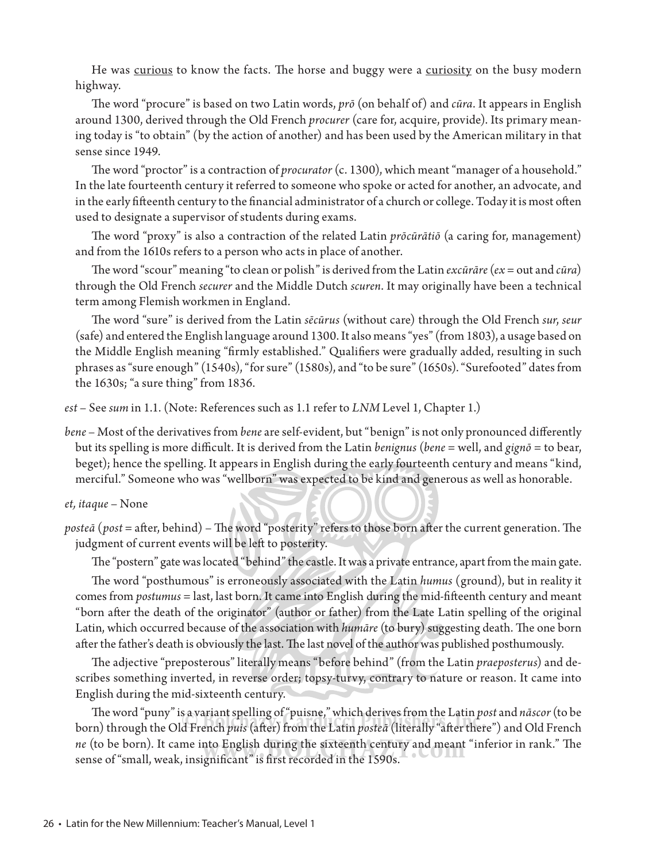He was curious to know the facts. The horse and buggy were a curiosity on the busy modern highway.

The word "procure" is based on two Latin words, *prō* (on behalf of) and *cūra*. It appears in English around 1300, derived through the Old French *procurer* (care for, acquire, provide). Its primary meaning today is "to obtain" (by the action of another) and has been used by the American military in that sense since 1949.

The word "proctor" is a contraction of *procurator* (c. 1300), which meant "manager of a household." In the late fourteenth century it referred to someone who spoke or acted for another, an advocate, and in the early fifteenth century to the financial administrator of a church or college. Today it is most often used to designate a supervisor of students during exams.

The word "proxy" is also a contraction of the related Latin *prōcūrātiō* (a caring for, management) and from the 1610s refers to a person who acts in place of another.

The word "scour" meaning "to clean or polish" is derived from the Latin *excūrāre* (*ex* = out and *cūra*) through the Old French *securer* and the Middle Dutch *scuren*. It may originally have been a technical term among Flemish workmen in England.

The word "sure" is derived from the Latin *sēcūrus* (without care) through the Old French *sur*, *seur* (safe) and entered the English language around 1300. It also means "yes" (from 1803), a usage based on the Middle English meaning "firmly established." Qualifiers were gradually added, resulting in such phrases as "sure enough" (1540s), "for sure" (1580s), and "to be sure" (1650s). "Surefooted" dates from the 1630s; "a sure thing" from 1836.

*est* – See *sum* in 1.1. (Note: References such as 1.1 refer to *LNM* Level 1, Chapter 1.)

*bene* – Most of the derivatives from *bene* are self-evident, but "benign" is not only pronounced differently but its spelling is more difficult. It is derived from the Latin *benignus* (*bene* = well, and *gignō* = to bear, beget); hence the spelling. It appears in English during the early fourteenth century and means "kind, merciful." Someone who was "wellborn" was expected to be kind and generous as well as honorable.

*et, itaque* – None

posteā (post = after, behind) - The word "posterity" refers to those born after the current generation. The judgment of current events will be left to posterity.

The "postern" gate was located "behind" the castle. It was a private entrance, apart from the main gate.

The word "posthumous" is erroneously associated with the Latin *humus* (ground), but in reality it comes from *postumus* = last, last born. It came into English during the mid-fifteenth century and meant "born after the death of the originator" (author or father) from the Late Latin spelling of the original Latin, which occurred because of the association with *humāre* (to bury) suggesting death. The one born after the father's death is obviously the last. The last novel of the author was published posthumously.

The adjective "preposterous" literally means "before behind" (from the Latin *praeposterus*) and describes something inverted, in reverse order; topsy-turvy, contrary to nature or reason. It came into English during the mid-sixteenth century.

The word "puny" is a variant spelling of "puisne," which derives from the Latin *post* and *nāscor* (to be born) through the Old French *puis* (after) from the Latin *posteā* (literally "after there") and Old French *ne* (to be born). It came into English during the sixteenth century and meant "inferior in rank." The The word "puny" is a variant spelling of "puisne," which derives from the Latin *pc* born) through the Old French *puis* (after) from the Latin *posteã* (literally "after ther *ne* (to be born). It came into English during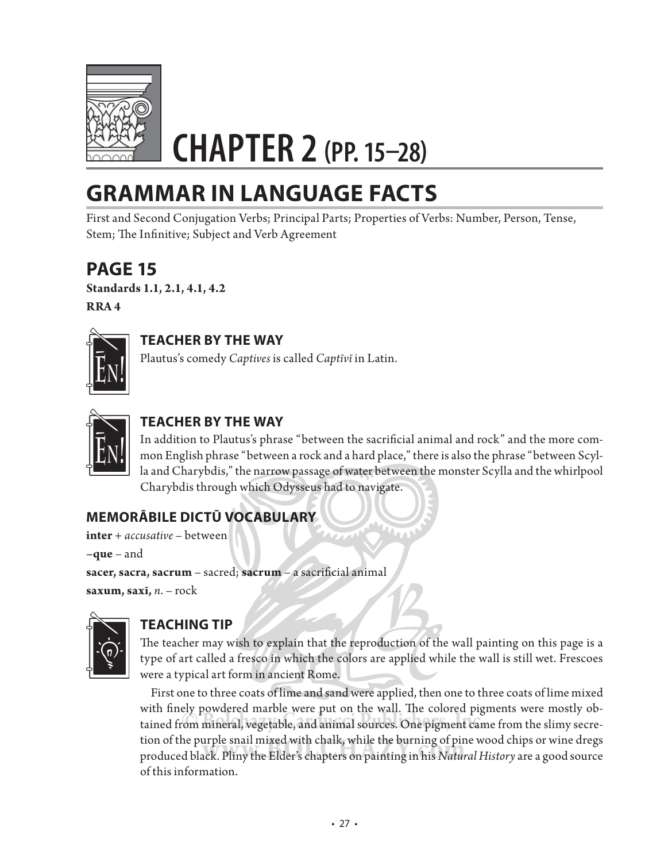

# **CHAPTER 2 (PP. 15–28)**

# **GRAMMAR IN LANGUAGE FACTS**

First and Second Conjugation Verbs; Principal Parts; Properties of Verbs: Number, Person, Tense, Stem; The Infinitive; Subject and Verb Agreement

# **PAGE 15**

**Standards 1.1, 2.1, 4.1, 4.2 RRA 4**



### **TEACHER BY THE WAY**

Plautus's comedy *Captives* is called *Captīvī* in Latin.



### **TEACHER BY THE WAY**

In addition to Plautus's phrase "between the sacrificial animal and rock" and the more common English phrase "between a rock and a hard place," there is also the phrase "between Scylla and Charybdis," the narrow passage of water between the monster Scylla and the whirlpool Charybdis through which Odysseus had to navigate.

### **MEMORĀBILE DICTŪ VOCABULARY**

```
inter + accusative – between
```

```
–que – and
```

```
sacer, sacra, sacrum – sacred; sacrum – a sacrificial animal
saxum, saxī, n. – rock
```


### **TEACHING TIP**

The teacher may wish to explain that the reproduction of the wall painting on this page is a type of art called a fresco in which the colors are applied while the wall is still wet. Frescoes were a typical art form in ancient Rome.

First one to three coats of lime and sand were applied, then one to three coats of lime mixed with finely powdered marble were put on the wall. The colored pigments were mostly obtained from mineral, vegetable, and animal sources. One pigment came from the slimy secretion of the purple snail mixed with chalk, while the burning of pine wood chips or wine dregs<br>produced black. Pliny the Elder's chapters on painting in his *Natural History* are a good source. produced black. Pliny the Elder's chapters on painting in his *Natural History* are a good source with finely powdered marble were put on the wall. The colored pig<br>tained from mineral, vegetable, and animal sources. One pigment can<br>tion of the purple snail mixed with chalk, while the burning of pine we<br>produced black.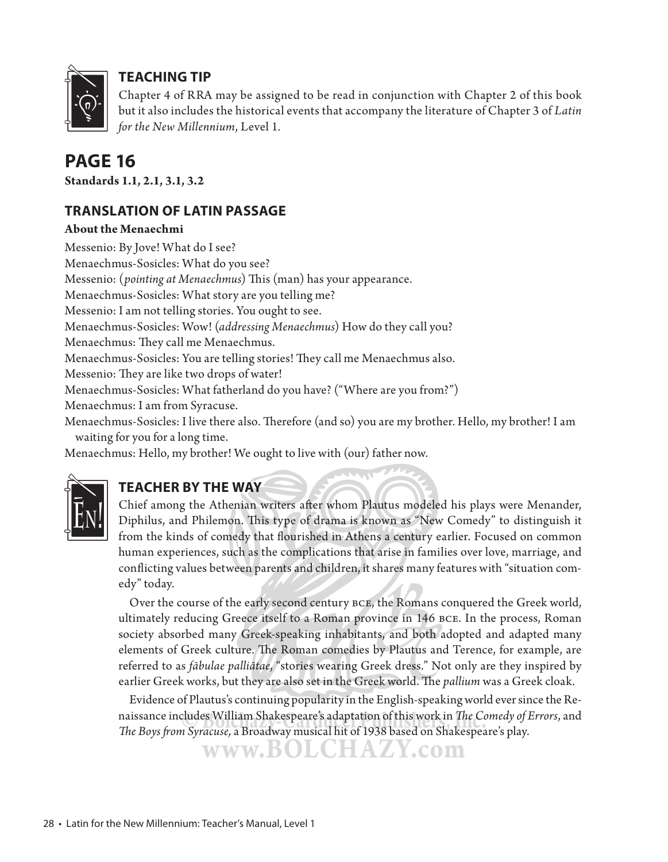

### **TEACHING TIP**

Chapter 4 of RRA may be assigned to be read in conjunction with Chapter 2 of this book but it also includes the historical events that accompany the literature of Chapter 3 of *Latin for the New Millennium*, Level 1.

# **PAGE 16**

**Standards 1.1, 2.1, 3.1, 3.2**

### **TRANSLATION OF LATIN PASSAGE**

### **About the Menaechmi**

Messenio: By Jove! What do I see? Menaechmus-Sosicles: What do you see? Messenio: (*pointing at Menaechmus*) This (man) has your appearance. Menaechmus-Sosicles: What story are you telling me? Messenio: I am not telling stories. You ought to see. Menaechmus-Sosicles: Wow! (*addressing Menaechmus*) How do they call you? Menaechmus: They call me Menaechmus. Menaechmus-Sosicles: You are telling stories! They call me Menaechmus also. Messenio: They are like two drops of water! Menaechmus-Sosicles: What fatherland do you have? ("Where are you from?") Menaechmus: I am from Syracuse. Menaechmus-Sosicles: I live there also. Therefore (and so) you are my brother. Hello, my brother! I am waiting for you for a long time. Menaechmus: Hello, my brother! We ought to live with (our) father now.



### **TEACHER BY THE WAY**

Chief among the Athenian writers after whom Plautus modeled his plays were Menander, Diphilus, and Philemon. This type of drama is known as "New Comedy" to distinguish it from the kinds of comedy that flourished in Athens a century earlier. Focused on common human experiences, such as the complications that arise in families over love, marriage, and conflicting values between parents and children, it shares many features with "situation comedy" today.

Over the course of the early second century bce, the Romans conquered the Greek world, ultimately reducing Greece itself to a Roman province in 146 bce. In the process, Roman society absorbed many Greek-speaking inhabitants, and both adopted and adapted many elements of Greek culture. The Roman comedies by Plautus and Terence, for example, are referred to as *fābulae palliātae*, "stories wearing Greek dress." Not only are they inspired by earlier Greek works, but they are also set in the Greek world. The *pallium* was a Greek cloak.

Evidence of Plautus's continuing popularity in the English-speaking world ever since the Renaissance includes William Shakespeare's adaptation of this work in *The Comedy of Errors*, and maissance includes William Shakespeare's adaptation of this work in *The Comedy of Errors*, and The Boys from Syracuse, a Broadway musical hit of 1938 based on Shakespeare's play.

**www.BOLCHAZY.com**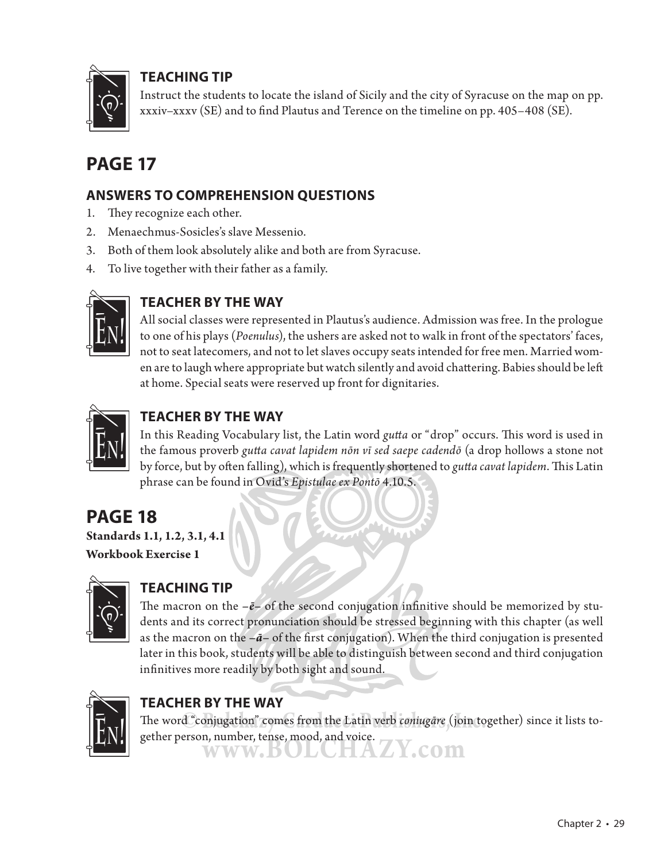

### **TEACHING TIP**

Instruct the students to locate the island of Sicily and the city of Syracuse on the map on pp. xxxiv–xxxv (SE) and to find Plautus and Terence on the timeline on pp.  $405-408$  (SE).

# **PAGE 17**

### **ANSWERS TO COMPREHENSION QUESTIONS**

- 1. They recognize each other.
- 2. Menaechmus-Sosicles's slave Messenio.
- 3. Both of them look absolutely alike and both are from Syracuse.
- 4. To live together with their father as a family.



### **TEACHER BY THE WAY**

All social classes were represented in Plautus's audience. Admission was free. In the prologue to one of his plays (*Poenulus*), the ushers are asked not to walk in front of the spectators' faces, not to seat latecomers, and not to let slaves occupy seats intended for free men. Married women are to laugh where appropriate but watch silently and avoid chatt ering. Babies should be left at home. Special seats were reserved up front for dignitaries.



### **TEACHER BY THE WAY**

In this Reading Vocabulary list, the Latin word *gutta* or "drop" occurs. This word is used in the famous proverb *gutta cavat lapidem nōn vī sed saepe cadendō* (a drop hollows a stone not by force, but by often falling), which is frequently shortened to *gutta cavat lapidem*. This Latin phrase can be found in Ovid's *Epistulae ex Pontō* 4.10.5.

# **PAGE 18**

**Standards 1.1, 1.2, 3.1, 4.1 Workbook Exercise 1**



### **TEACHING TIP**

The macron on the  $-\bar{e}$  of the second conjugation infinitive should be memorized by students and its correct pronunciation should be stressed beginning with this chapter (as well as the macron on the  $-\bar{a}$ – of the first conjugation). When the third conjugation is presented later in this book, students will be able to distinguish between second and third conjugation infinitives more readily by both sight and sound.



### **TEACHER BY THE WAY**

**TEACTIEN BT TITE WAT**<br>The word "conjugation" comes from the Latin verb *coniugāre* (join together) since it lists together person, number, tense, mood, and voice.<br>
WWW.BOLCHAZY.COM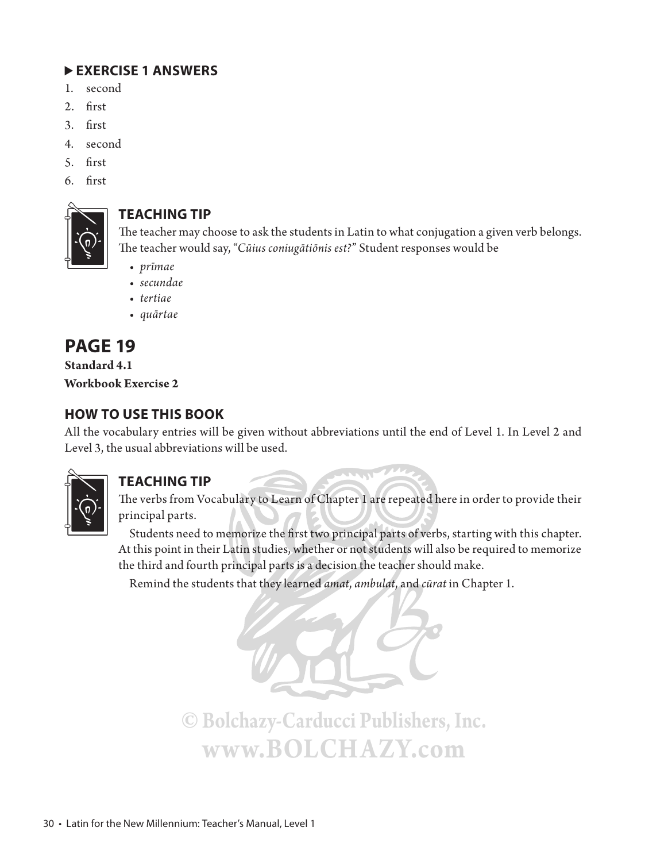### **EXERCISE 1 ANSWERS**

- 1. second
- 2. first
- 3. first
- 4. second
- 5. first
- 6. first



### **TEACHING TIP**

The teacher may choose to ask the students in Latin to what conjugation a given verb belongs. The teacher would say, "Cūius coniugātiōnis est?" Student responses would be

- *prīmae*
- *secundae*
- *tertiae*
- *quārtae*

# **PAGE 19**

**Standard 4.1 Workbook Exercise 2**

### **HOW TO USE THIS BOOK**

All the vocabulary entries will be given without abbreviations until the end of Level 1. In Level 2 and Level 3, the usual abbreviations will be used.



### **TEACHING TIP**

The verbs from Vocabulary to Learn of Chapter 1 are repeated here in order to provide their principal parts.

Students need to memorize the first two principal parts of verbs, starting with this chapter. At this point in their Latin studies, whether or not students will also be required to memorize the third and fourth principal parts is a decision the teacher should make.

Remind the students that they learned *amat*, *ambulat*, and *cūrat* in Chapter 1.

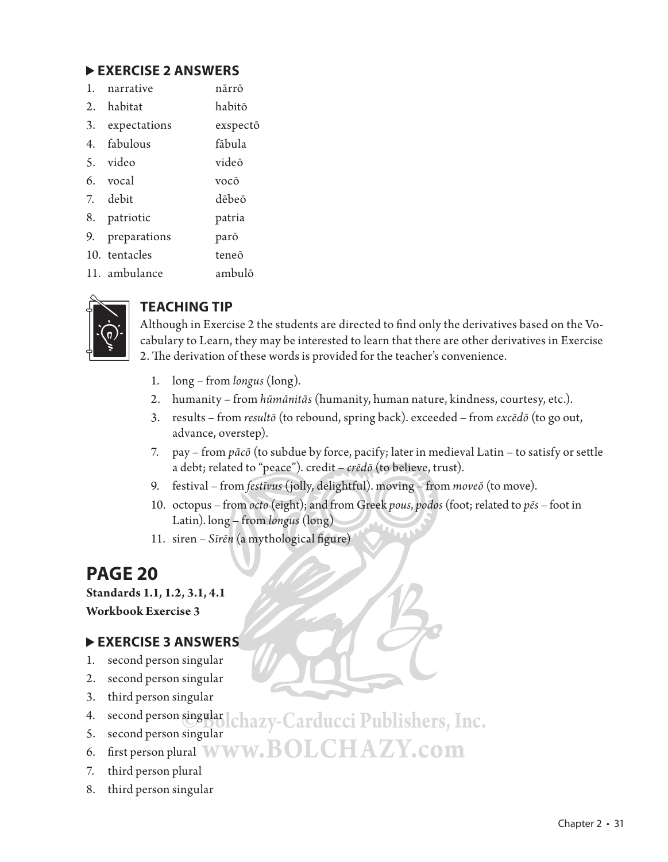### **EXERCISE 2 ANSWERS**

| 1. | narrative     | nārrō    |
|----|---------------|----------|
|    | 2. habitat    | habitō   |
| 3. | expectations  | exspectō |
|    | 4. fabulous   | fābula   |
| 5. | video         | videō    |
|    | 6. vocal      | vocō     |
|    | 7. debit      | dēbeō    |
|    | 8. patriotic  | patria   |
| 9. | preparations  | parō     |
|    | 10. tentacles | teneō    |
|    | 11. ambulance | ambulō   |



### **TEACHING TIP**

Although in Exercise 2 the students are directed to find only the derivatives based on the Vocabulary to Learn, they may be interested to learn that there are other derivatives in Exercise 2. The derivation of these words is provided for the teacher's convenience.

- 1. long from *longus* (long).
- 2. humanity from *hūmānitās* (humanity, human nature, kindness, courtesy, etc.).
- 3. results from *resultō* (to rebound, spring back). exceeded from *excēdō* (to go out, advance, overstep).
- 7. pay from *pācō* (to subdue by force, pacify; later in medieval Latin to satisfy or settle a debt; related to "peace"). credit – *crēdō* (to believe, trust).
- 9. festival from *festīvus* (jolly, delightful). moving from *moveō* (to move).
- 10. octopus from *octo* (eight); and from Greek *pous*, *podos* (foot; related to *pēs* foot in Latin). long – from *longus* (long)
- 11. siren Sīrēn (a mythological figure)

### **PAGE 20**

**Standards 1.1, 1.2, 3.1, 4.1 Workbook Exercise 3**

### **EXERCISE 3 ANSWERS**

- 1. second person singular
- 2. second person singular
- 3. third person singular
- 4. second person singular **© Bolchazy-Carducci Publishers, Inc.**
- 5. second person singular
- 6. fi rst person plural **www.BOLCHAZY.com**
- 7. third person plural
- 8. third person singular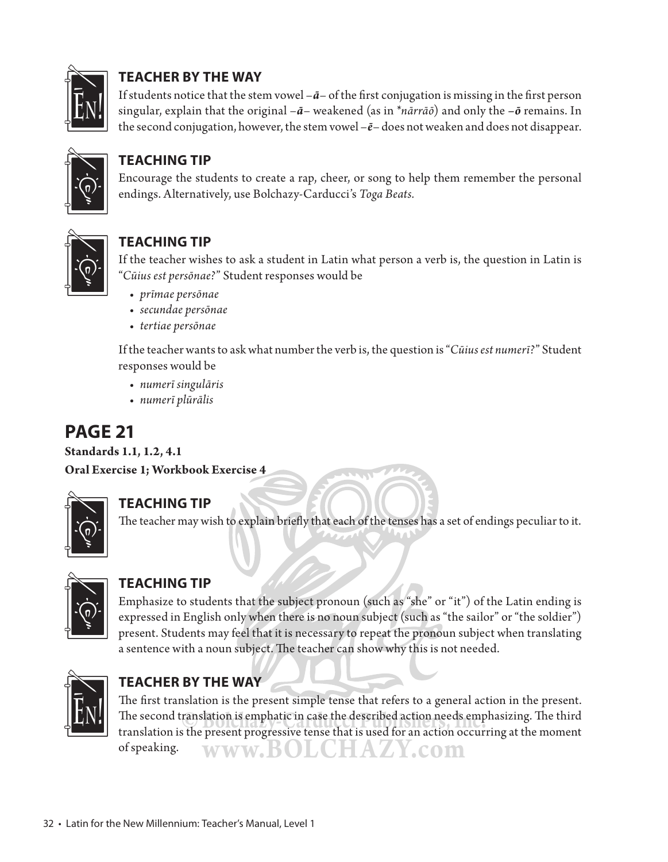

### **TEACHER BY THE WAY**

If students notice that the stem vowel  $-\bar{a}$  of the first conjugation is missing in the first person singular, explain that the original –*ā*– weakened (as in \**nārrāō*) and only the *–ō* remains. In the second conjugation, however, the stem vowel  $-\bar{e}$  does not weaken and does not disappear.



### **TEACHING TIP**

Encourage the students to create a rap, cheer, or song to help them remember the personal endings. Alternatively, use Bolchazy-Carducci's *Toga Beats.*



### **TEACHING TIP**

If the teacher wishes to ask a student in Latin what person a verb is, the question in Latin is "*Cūius est persōnae?*" Student responses would be

- *prīmae persōnae*
- *secundae persōnae*
- *tertiae persōnae*

If the teacher wants to ask what number the verb is, the question is "*Cūius est numerī?*" Student responses would be

- *numerī singulāris*
- *numerī plūrālis*

# **PAGE 21**

**Standards 1.1, 1.2, 4.1 Oral Exercise 1; Workbook Exercise 4**



### **TEACHING TIP**

The teacher may wish to explain briefly that each of the tenses has a set of endings peculiar to it.



### **TEACHING TIP**

Emphasize to students that the subject pronoun (such as "she" or "it") of the Latin ending is expressed in English only when there is no noun subject (such as "the sailor" or "the soldier") present. Students may feel that it is necessary to repeat the pronoun subject when translating a sentence with a noun subject. The teacher can show why this is not needed.



### **TEACHER BY THE WAY**

The first translation is the present simple tense that refers to a general action in the present. The second translation is emphatic in case the described action needs emphasizing. The third translation is the present progressive tense that is used for an action occurring at the moment of speaking. translation is the present progressive tense that is used for an action occurring at the moment **www.BOLCHAZY.com**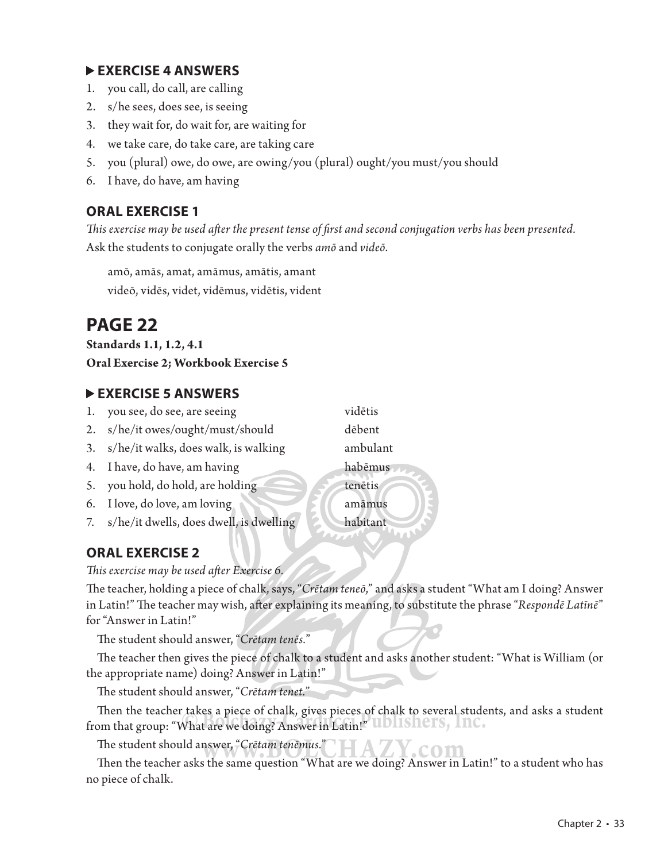### **EXERCISE 4 ANSWERS**

- 1. you call, do call, are calling
- 2. s/he sees, does see, is seeing
- 3. they wait for, do wait for, are waiting for
- 4. we take care, do take care, are taking care
- 5. you (plural) owe, do owe, are owing/you (plural) ought/you must/you should
- 6. I have, do have, am having

### **ORAL EXERCISE 1**

*Th is exercise may be used aft er the present tense of fi rst and second conjugation verbs has been presented.* Ask the students to conjugate orally the verbs *amō* and *videō*.

 amō, amās, amat, amāmus, amātis, amant videō, vidēs, videt, vidēmus, vidētis, vident

# **PAGE 22**

### **Standards 1.1, 1.2, 4.1 Oral Exercise 2; Workbook Exercise 5**

### **EXERCISE 5 ANSWERS**

- 1. you see, do see, are seeing vidētis 2. s/he/it owes/ought/must/should dēbent 3. s/he/it walks, does walk, is walking ambulant
- 4. I have, do have, am having habemus
- 5. you hold, do hold, are holding tenetis
- 6. I love, do love, am loving
- 7. s/he/it dwells, does dwell, is dwelling
- 

### **ORAL EXERCISE 2**

*Th is exercise may be used aft er Exercise 6.*

The teacher, holding a piece of chalk, says, "*Crētam teneō*," and asks a student "What am I doing? Answer in Latin!" The teacher may wish, after explaining its meaning, to substitute the phrase "*Respondē Latīnē*" for "Answer in Latin!"

The student should answer, "Crētam tenēs."

The teacher then gives the piece of chalk to a student and asks another student: "What is William (or the appropriate name) doing? Answer in Latin!"

The student should answer, "Crētam tenet."

Then the teacher takes a piece of chalk, gives pieces of chalk to several students, and asks a student from that group: "What are we doing? Answer in Latin!"

The student should answer, "*Crētam tenēmus.*"

Then the teacher asks the same question "What are we doing? Answer in Latin!" to a student who has Then the teacher takes a piece of chalk, gives pieces of chalk to several stude<br>from that group: "What are we doing? Answer in Latin!"<br>Then the teacher asks the same question "What are we doing? Answer in Latin<br>no piece of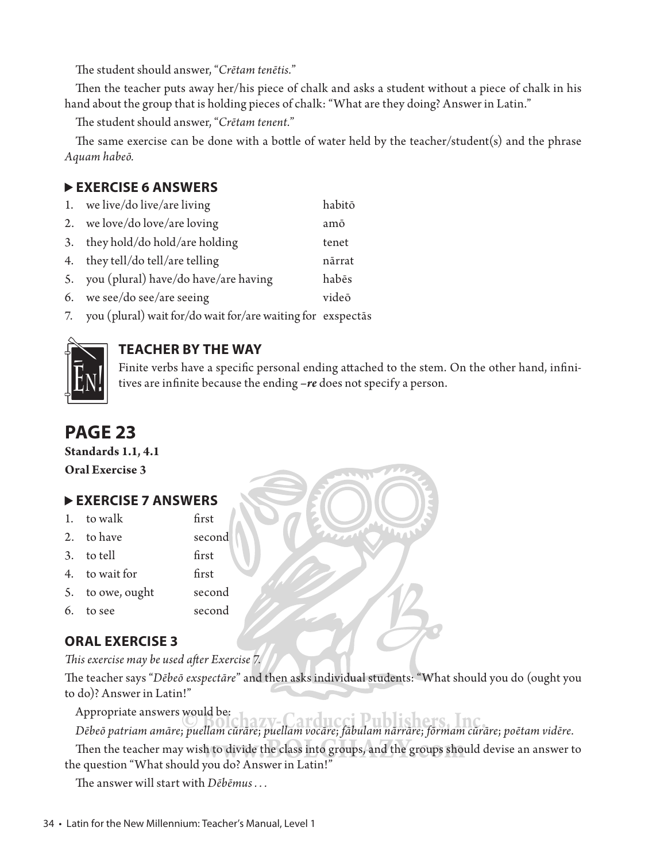The student should answer, "Crētam tenētis."

Then the teacher puts away her/his piece of chalk and asks a student without a piece of chalk in his hand about the group that is holding pieces of chalk: "What are they doing? Answer in Latin."

The student should answer, "Crētam tenent."

The same exercise can be done with a bottle of water held by the teacher/student(s) and the phrase *Aquam habeō.* 

### **EXERCISE 6 ANSWERS**

|    | 1. we live/do live/are living           | habitō |
|----|-----------------------------------------|--------|
| 2. | we love/do love/are loving              | amō    |
| 3. | they hold/do hold/are holding           | tenet  |
| 4. | they tell/do tell/are telling           | nārrat |
|    | 5. you (plural) have/do have/are having | habēs  |
|    | 6. we see/do see/are seeing             | videō  |

7. you (plural) wait for/do wait for/are waiting for exspectās



### **TEACHER BY THE WAY**

Finite verbs have a specific personal ending attached to the stem. On the other hand, infinitives are infinite because the ending -re does not specify a person.

# **PAGE 23**

**Standards 1.1, 4.1 Oral Exercise 3**

### **EXERCISE 7 ANSWERS**

- 1. to walk first
- 2. to have second
- 3. to tell first
- 4. to wait for first
- 5. to owe, ought second
- 
- 6. to see second

### **ORAL EXERCISE 3**

*This exercise may be used after Exercise 7.* 

The teacher says "Debeo exspectare" and then asks individual students: "What should you do (ought you to do)? Answer in Latin!"

Appropriate answers would be:

*Dēbeō patriam amāre*; *puellam cūrāre*; *puellam vocāre*; *fābulam nārrāre*; *fōrmam cūrāre*; *poētam vidēre.* **© Bolchazy-Carducci Publishers, Inc.**

Devev parriam amare; paenam carare; paenam vocare; javaiam narrare; jormam carare; poetam viaere.<br>Then the teacher may wish to divide the class into groups, and the groups should devise an answer to the question "What should you do? Answer in Latin!"

The answer will start with *Dēbēmus* ...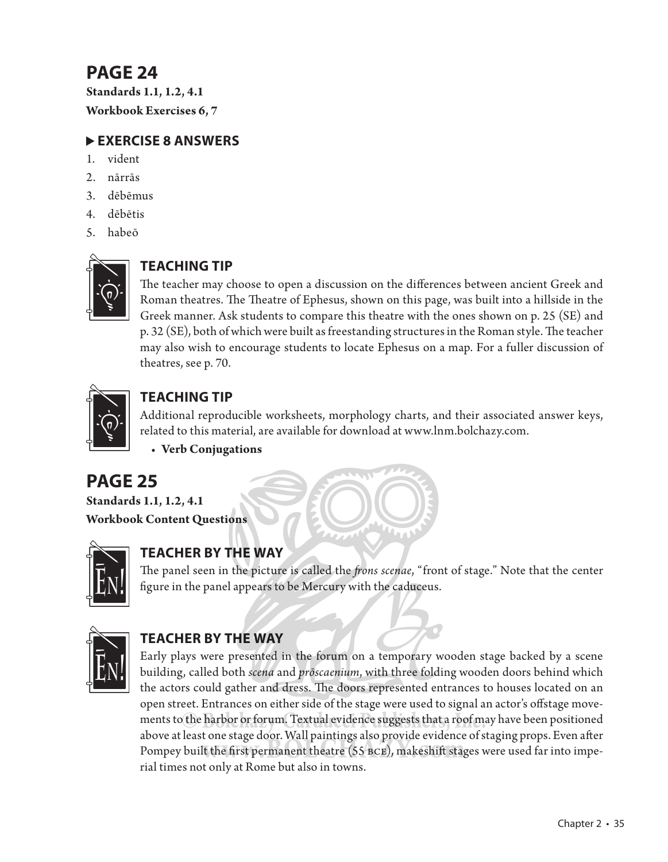# **PAGE 24**

**Standards 1.1, 1.2, 4.1 Workbook Exercises 6, 7**

### **EXERCISE 8 ANSWERS**

- 1. vident
- 2. nārrās
- 3. dēbēmus
- 4. dēbētis
- 5. habeō



### **TEACHING TIP**

The teacher may choose to open a discussion on the differences between ancient Greek and Roman theatres. The Theatre of Ephesus, shown on this page, was built into a hillside in the Greek manner. Ask students to compare this theatre with the ones shown on p. 25 (SE) and p. 32 (SE), both of which were built as freestanding structures in the Roman style. The teacher may also wish to encourage students to locate Ephesus on a map. For a fuller discussion of theatres, see p. 70.



### **TEACHING TIP**

Additional reproducible worksheets, morphology charts, and their associated answer keys, related to this material, are available for download at www.lnm.bolchazy.com.

• **Verb Conjugations** 

# **PAGE 25**

**Standards 1.1, 1.2, 4.1 Workbook Content Questions**



### **TEACHER BY THE WAY**

The panel seen in the picture is called the *frons scenae*, "front of stage." Note that the center figure in the panel appears to be Mercury with the caduceus.



### **TEACHER BY THE WAY**

Early plays were presented in the forum on a temporary wooden stage backed by a scene building, called both *scena* and *prōscaenium*, with three folding wooden doors behind which the actors could gather and dress. The doors represented entrances to houses located on an open street. Entrances on either side of the stage were used to signal an actor's offstage movements to the harbor or forum. Textual evidence suggests that a roof may have been positioned above at least one stage door. Wall paintings also provide evidence of staging props. Even after Pompey built the first permanent theatre (55  $_{\rm BCE}$ ), makeshift stages were used far into imperial times on entire state of the stage were used to signal a<br>ments to the harbor or forum. Textual evidence suggests that a roof ma<br>above at least one stage door. Wall paintings also provide evidence of s<br>Pompey built the t one stage door. Wall paintings also provide evidence<br>It the first permanent theatre (55 BCE), makeshift sta<sub>j</sub>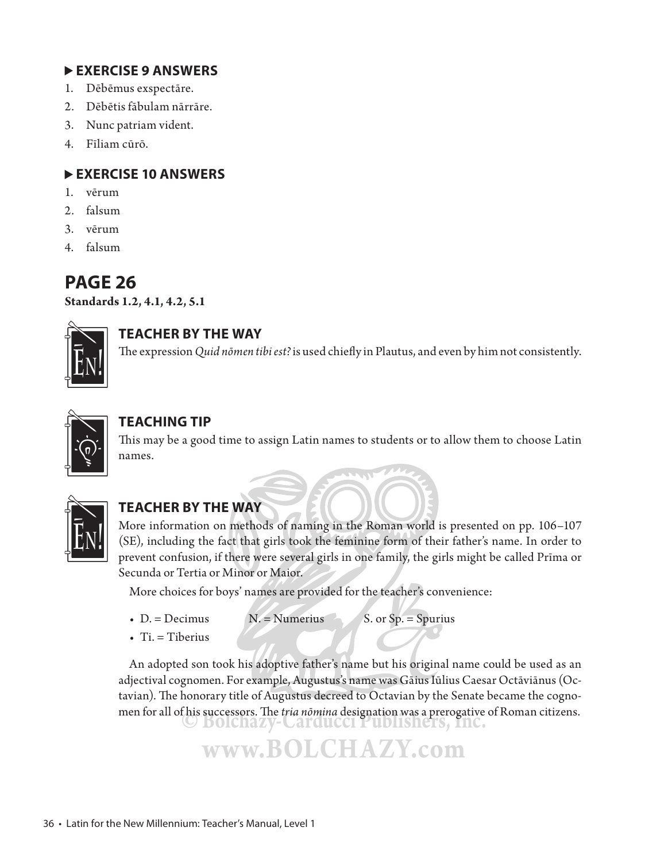### **EXERCISE 9 ANSWERS**

- 1. Dēbēmus exspectāre.
- 2. Dēbētis fābulam nārrāre.
- 3. Nunc patriam vident.
- 4. Fīliam cūrō.

### **EXERCISE 10 ANSWERS**

- 1. vērum
- 2. falsum
- 3. vērum
- 4. falsum

# **PAGE 26**

**Standards 1.2, 4.1, 4.2, 5.1**



### **TEACHER BY THE WAY**

The expression *Quid nōmen tibi est?* is used chiefly in Plautus, and even by him not consistently.



### **TEACHING TIP**

This may be a good time to assign Latin names to students or to allow them to choose Latin names.



### **TEACHER BY THE WAY**

More information on methods of naming in the Roman world is presented on pp. 106–107 (SE), including the fact that girls took the feminine form of their father's name. In order to prevent confusion, if there were several girls in one family, the girls might be called Prīma or Secunda or Tertia or Minor or Maior.

More choices for boys' names are provided for the teacher's convenience:

- $D = Decimus$  N. = Numerius S. or Sp. = Spurius
- $\bullet$  Ti. = Tiberius

An adopted son took his adoptive father's name but his original name could be used as an adjectival cognomen. For example, Augustus's name was Gāius Iūlius Caesar Octāviānus (Octavian). The honorary title of Augustus decreed to Octavian by the Senate became the cognomen for all of his successors. The *tria nōmina* designation was a prerogative of Roman citizens.

# **www.BOLCHAZY.com**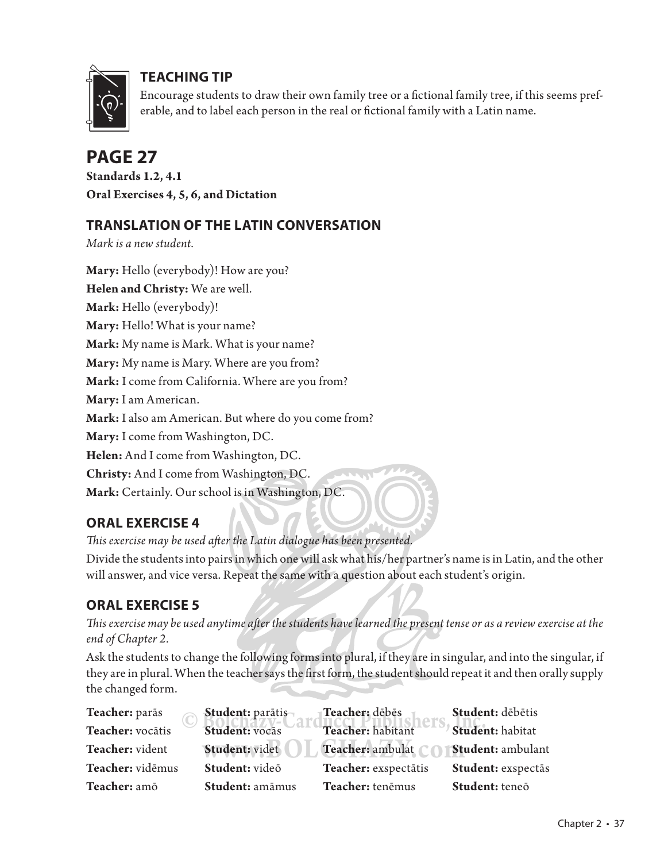

### **TEACHING TIP**

Encourage students to draw their own family tree or a fictional family tree, if this seems preferable, and to label each person in the real or fictional family with a Latin name.

# **PAGE 27**

**Standards 1.2, 4.1 Oral Exercises 4, 5, 6, and Dictation**

### **TRANSLATION OF THE LATIN CONVERSATION**

*Mark is a new student.*

**Mary:** Hello (everybody)! How are you? **Helen and Christy:** We are well. **Mark:** Hello (everybody)! **Mary:** Hello! What is your name? **Mark:** My name is Mark. What is your name? **Mary:** My name is Mary. Where are you from? **Mark:** I come from California. Where are you from? **Mary:** I am American. **Mark:** I also am American. But where do you come from? **Mary:** I come from Washington, DC. **Helen:** And I come from Washington, DC. **Christy:** And I come from Washington, DC. **Mark:** Certainly. Our school is in Washington, DC.

### **ORAL EXERCISE 4**

This exercise may be used after the Latin dialogue has been presented.

Divide the students into pairs in which one will ask what his/her partner's name is in Latin, and the other will answer, and vice versa. Repeat the same with a question about each student's origin.

### **ORAL EXERCISE 5**

This exercise may be used anytime after the students have learned the present tense or as a review exercise at the *end of Chapter 2.*

Ask the students to change the following forms into plural, if they are in singular, and into the singular, if they are in plural. When the teacher says the first form, the student should repeat it and then orally supply the changed form.

| Teacher: parās   | Student: parātis | Teacher: dēbēs       | Student: dēbētis         |
|------------------|------------------|----------------------|--------------------------|
| Teacher: vocātis | Student: vocās   | Teacher: habitant    | Student: habitat         |
| Teacher: vident  | Student: videt   | Teacher: ambulat     | <b>Student:</b> ambulant |
| Teacher: vidēmus | Student: video   | Teacher: exspectātis | Student: exspectās       |
| Teacher: amō     | Student: amāmus  | Teacher: tenēmus     | Student: teneō           |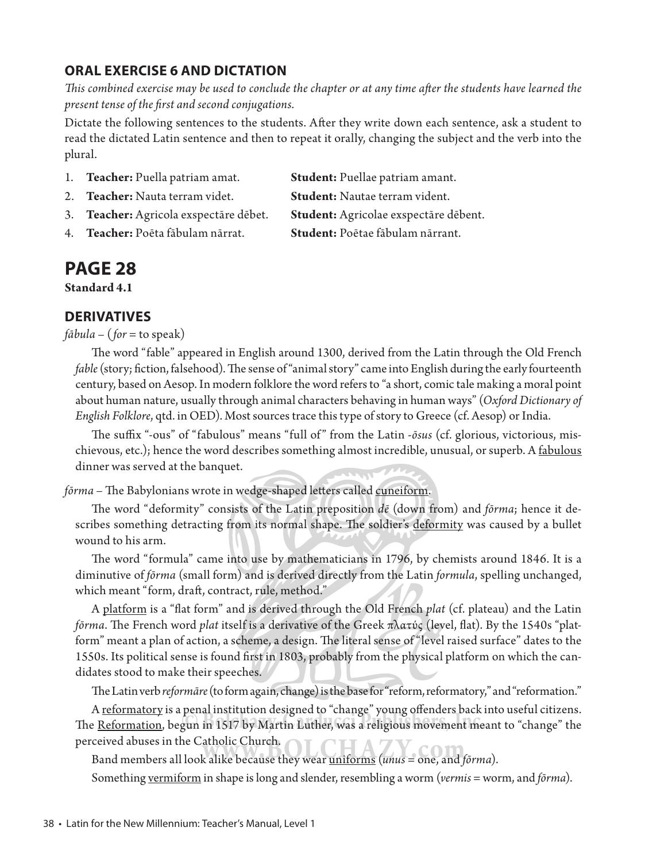### **ORAL EXERCISE 6 AND DICTATION**

*This combined exercise may be used to conclude the chapter or at any time after the students have learned the present tense of the fi rst and second conjugations.*

Dictate the following sentences to the students. After they write down each sentence, ask a student to read the dictated Latin sentence and then to repeat it orally, changing the subject and the verb into the plural.

- 1. **Teacher:** Puella patriam amat. **Student:** Puellae patriam amant.
- 2. **Teacher:** Nauta terram videt. **Student:** Nautae terram vident.
- 3. **Teacher:** Agricola exspectāre dēbet. **Student:** Agricolae exspectāre dēbent.

4. **Teacher:** Poēta fābulam nārrat. **Student:** Poētae fābulam nārrant.

# **PAGE 28**

**Standard 4.1**

#### **DERIVATIVES**

*fābula* – (*for* = to speak)

The word "fable" appeared in English around 1300, derived from the Latin through the Old French *fable* (story; fiction, falsehood). The sense of "animal story" came into English during the early fourteenth century, based on Aesop. In modern folklore the word refers to "a short, comic tale making a moral point about human nature, usually through animal characters behaving in human ways" (*Oxford Dictionary of English Folklore*, qtd. in OED). Most sources trace this type of story to Greece (cf. Aesop) or India.

The suffix "-ous" of "fabulous" means "full of" from the Latin *-ōsus* (cf. glorious, victorious, mischievous, etc.); hence the word describes something almost incredible, unusual, or superb. A fabulous dinner was served at the banquet.

*fōrma* – The Babylonians wrote in wedge-shaped letters called cuneiform.

The word "deformity" consists of the Latin preposition  $d\bar{\epsilon}$  (down from) and *fōrma*; hence it describes something detracting from its normal shape. The soldier's deformity was caused by a bullet wound to his arm.

The word "formula" came into use by mathematicians in 1796, by chemists around 1846. It is a diminutive of *fōrma* (small form) and is derived directly from the Latin *formula*, spelling unchanged, which meant "form, draft, contract, rule, method."

 A platform is a "fl at form" and is derived through the Old French *plat* (cf. plateau) and the Latin *fōrma*. The French word *plat* itself is a derivative of the Greek πλατύς (level, flat). By the 1540s "platform" meant a plan of action, a scheme, a design. The literal sense of "level raised surface" dates to the 1550s. Its political sense is found first in 1803, probably from the physical platform on which the candidates stood to make their speeches.

The Latin verb *reformāre* (to form again, change) is the base for "reform, reformatory," and "reformation."

A reformatory is a penal institution designed to "change" young offenders back into useful citizens. The <u>Reformation</u>, begun in 1517 by Martin Luther, was a religious movement meant to "change" the perceived abuses in the Catholic Church. perceived abuses in the Catholic Church.<br>Band members all look alike because they wear <u>uniforms</u> (*unus* = one, and *fōrma*). Something vermiform in shape is long and slender, resembling a worm (*vermis* = worm, and *fōrma*).<br>
Something <u>vermiform</u> in shape is long and slender, resembling a worm (*vermis* = worm, and *fōrma*).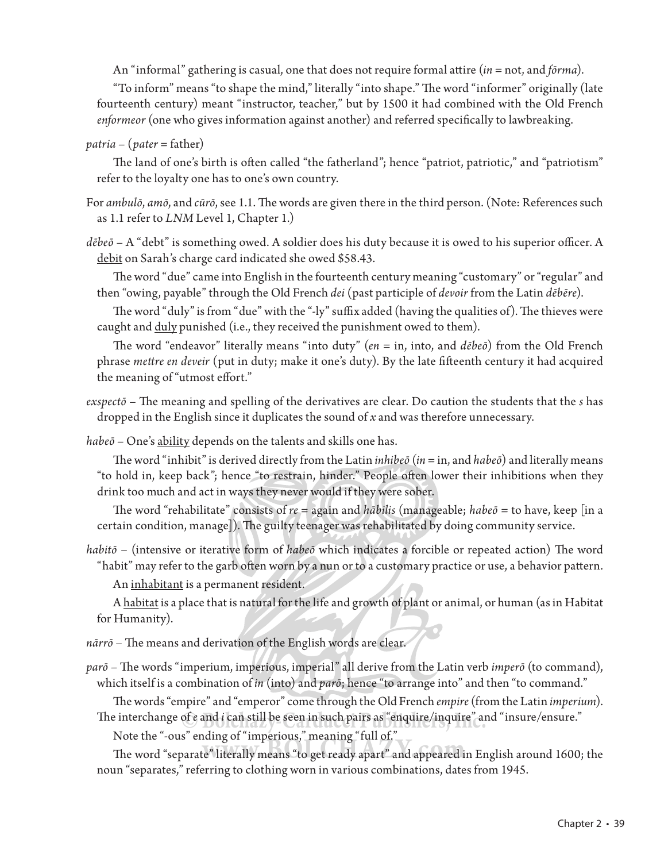An "informal" gathering is casual, one that does not require formal attire (*in* = not, and *fōrma*).

"To inform" means "to shape the mind," literally "into shape." The word "informer" originally (late fourteenth century) meant "instructor, teacher," but by 1500 it had combined with the Old French *enformeor* (one who gives information against another) and referred specifically to lawbreaking.

*patria* – (*pater* = father)

The land of one's birth is often called "the fatherland"; hence "patriot, patriotic," and "patriotism" refer to the loyalty one has to one's own country.

- For *ambulō*, amō, and *cūrō*, see 1.1. The words are given there in the third person. (Note: References such as 1.1 refer to *LNM* Level 1, Chapter 1.)
- *dēbeō* A "debt" is something owed. A soldier does his duty because it is owed to his superior officer. A debit on Sarah's charge card indicated she owed \$58.43.

The word "due" came into English in the fourteenth century meaning "customary" or "regular" and then "owing, payable" through the Old French *dei* (past participle of *devoir* from the Latin *dēbēre*).

The word "duly" is from "due" with the "-ly" suffix added (having the qualities of). The thieves were caught and <u>duly</u> punished (i.e., they received the punishment owed to them).

The word "endeavor" literally means "into duty" ( $en = in$ , into, and  $d\bar{e}be\bar{o}$ ) from the Old French phrase *mettre en deveir* (put in duty; make it one's duty). By the late fifteenth century it had acquired the meaning of "utmost effort."

*exspectō* – The meaning and spelling of the derivatives are clear. Do caution the students that the *s* has dropped in the English since it duplicates the sound of *x* and was therefore unnecessary.

*habeō* – One's ability depends on the talents and skills one has.

The word "inhibit" is derived directly from the Latin *inhibeō* (*in* = in, and *habeō*) and literally means "to hold in, keep back"; hence "to restrain, hinder." People often lower their inhibitions when they drink too much and act in ways they never would if they were sober.

The word "rehabilitate" consists of  $re =$  again and *hābilis* (manageable; *habeō* = to have, keep [in a certain condition, manage]). The guilty teenager was rehabilitated by doing community service.

*habitō* – (intensive or iterative form of *habeō* which indicates a forcible or repeated action) The word "habit" may refer to the garb often worn by a nun or to a customary practice or use, a behavior pattern. An inhabitant is a permanent resident.

 A habitat is a place that is natural for the life and growth of plant or animal, or human (as in Habitat for Humanity).

- nārrō The means and derivation of the English words are clear.
- *parō* The words "imperium, imperious, imperial" all derive from the Latin verb *imperō* (to command), which itself is a combination of *in* (into) and *parō*; hence "to arrange into" and then "to command."

The words "empire" and "emperor" come through the Old French *empire* (from the Latin *imperium*). The interchange of *e* and *i* can still be seen in such pairs as "enquire/inquire" and "insure/ensure."

Note the "-ous" ending of "imperious," meaning "full of."

The word "separate" literally means "to get ready apart" and appeared in English around 1600; the noun "separates" end i can still be seen in such pairs as "enquire/inquire" and "insure Note the "-ous" ending of "imperious," meaning "full of."<br>The word "separate" literally means "to get ready apart" and appeared in Eng ding of "imperious," meaning "full of."<br>e" literally means "to get ready apart" and appeared i